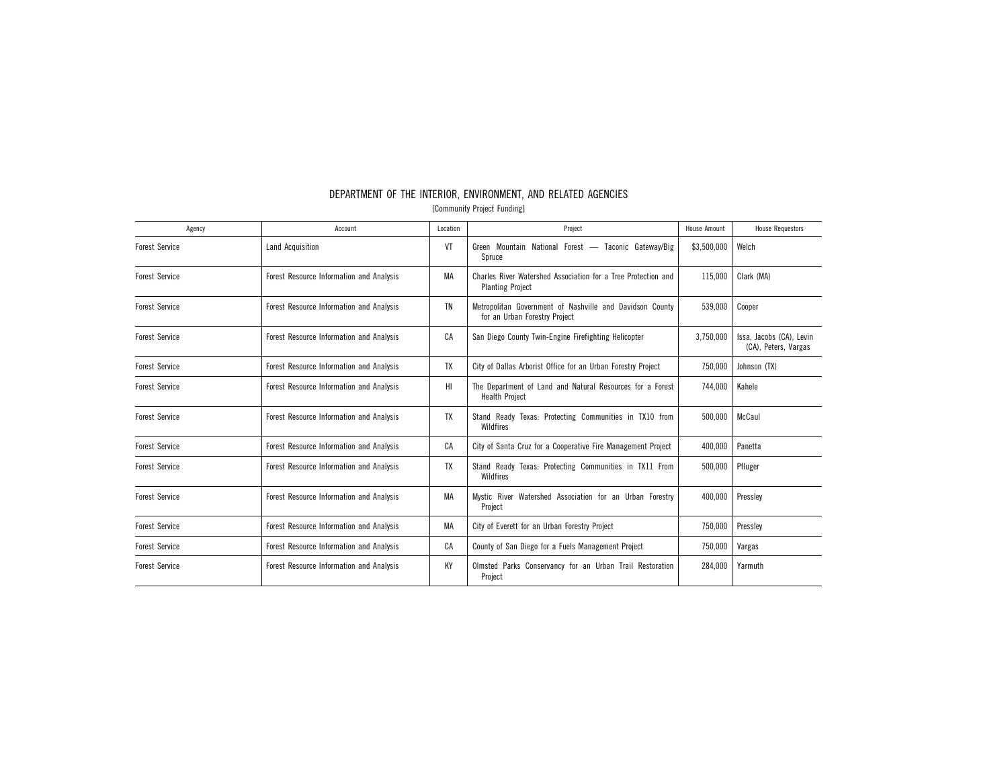| Agency                | Account                                  | Location | Project                                                                                   | <b>House Amount</b> | <b>House Requestors</b>                          |
|-----------------------|------------------------------------------|----------|-------------------------------------------------------------------------------------------|---------------------|--------------------------------------------------|
| <b>Forest Service</b> | Land Acquisition                         | VT       | Green Mountain National Forest — Taconic Gateway/Big<br>Spruce                            | \$3,500,000         | Welch                                            |
| <b>Forest Service</b> | Forest Resource Information and Analysis | MA       | Charles River Watershed Association for a Tree Protection and<br><b>Planting Project</b>  | 115,000             | Clark (MA)                                       |
| <b>Forest Service</b> | Forest Resource Information and Analysis | ΤN       | Metropolitan Government of Nashville and Davidson County<br>for an Urban Forestry Project | 539,000             | Cooper                                           |
| <b>Forest Service</b> | Forest Resource Information and Analysis | CA       | San Diego County Twin-Engine Firefighting Helicopter                                      | 3,750,000           | Issa, Jacobs (CA), Levin<br>(CA), Peters, Vargas |
| <b>Forest Service</b> | Forest Resource Information and Analysis | TX       | City of Dallas Arborist Office for an Urban Forestry Project                              | 750,000             | Johnson (TX)                                     |
| <b>Forest Service</b> | Forest Resource Information and Analysis | HI.      | The Department of Land and Natural Resources for a Forest<br><b>Health Project</b>        | 744.000             | Kahele                                           |
| <b>Forest Service</b> | Forest Resource Information and Analysis | TX       | Stand Ready Texas: Protecting Communities in TX10 from<br><b>Wildfires</b>                | 500,000             | McCaul                                           |
| <b>Forest Service</b> | Forest Resource Information and Analysis | CA       | City of Santa Cruz for a Cooperative Fire Management Project                              | 400,000             | Panetta                                          |
| <b>Forest Service</b> | Forest Resource Information and Analysis | TX       | Stand Ready Texas: Protecting Communities in TX11 From<br>Wildfires                       | 500.000             | Pfluger                                          |
| <b>Forest Service</b> | Forest Resource Information and Analysis | МA       | Mystic River Watershed Association for an Urban Forestry<br>Project                       | 400,000             | Pressley                                         |
| <b>Forest Service</b> | Forest Resource Information and Analysis | МA       | City of Everett for an Urban Forestry Project                                             | 750,000             | Pressley                                         |
| <b>Forest Service</b> | Forest Resource Information and Analysis | CA       | County of San Diego for a Fuels Management Project                                        | 750,000             | Vargas                                           |
| <b>Forest Service</b> | Forest Resource Information and Analysis | KY       | Olmsted Parks Conservancy for an Urban Trail Restoration<br>Project                       | 284.000             | Yarmuth                                          |

# DEPARTMENT OF THE INTERIOR, ENVIRONMENT, AND RELATED AGENCIES

[Community Project Funding]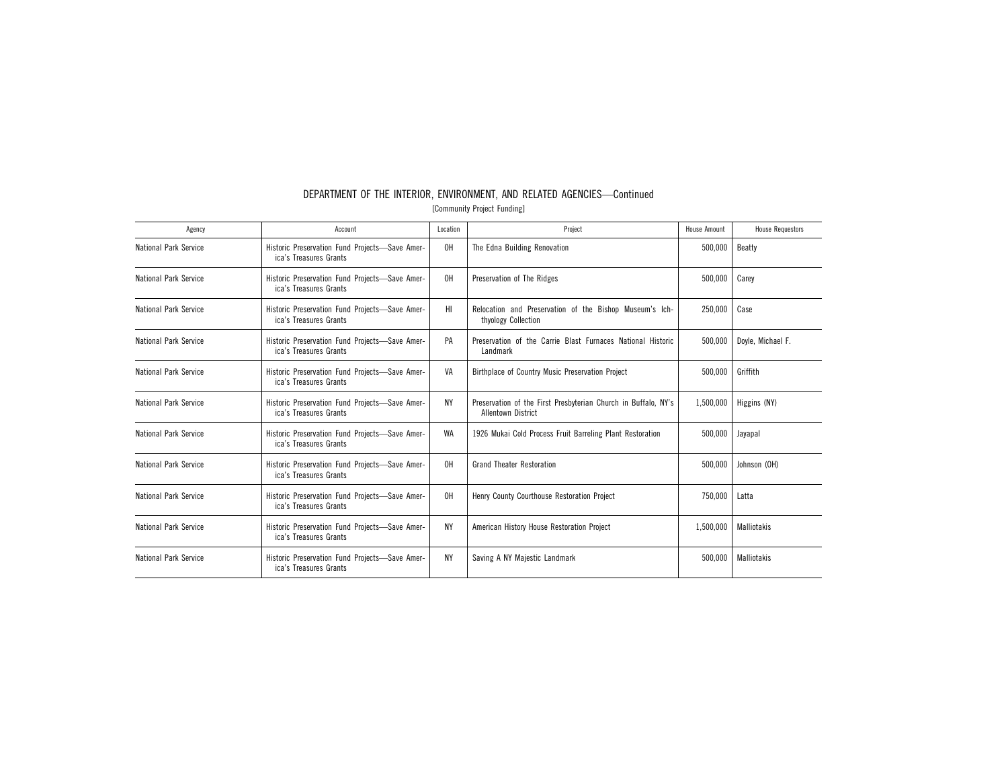| Agency                       | Account                                                                  | Location  | Project                                                                                     | <b>House Amount</b> | <b>House Requestors</b> |
|------------------------------|--------------------------------------------------------------------------|-----------|---------------------------------------------------------------------------------------------|---------------------|-------------------------|
| National Park Service        | Historic Preservation Fund Projects-Save Amer-<br>ica's Treasures Grants | 0H        | The Edna Building Renovation                                                                | 500,000             | Beatty                  |
| National Park Service        | Historic Preservation Fund Projects-Save Amer-<br>ica's Treasures Grants | OH        | Preservation of The Ridges                                                                  | 500,000             | Carey                   |
| National Park Service        | Historic Preservation Fund Projects-Save Amer-<br>ica's Treasures Grants | HI        | Relocation and Preservation of the Bishop Museum's Ich-<br>thyology Collection              | 250.000             | Case                    |
| <b>National Park Service</b> | Historic Preservation Fund Projects-Save Amer-<br>ica's Treasures Grants | PA        | Preservation of the Carrie Blast Furnaces National Historic<br>Landmark                     | 500,000             | Doyle, Michael F.       |
| National Park Service        | Historic Preservation Fund Projects-Save Amer-<br>ica's Treasures Grants | VA        | Birthplace of Country Music Preservation Project                                            | 500.000             | Griffith                |
| <b>National Park Service</b> | Historic Preservation Fund Projects-Save Amer-<br>ica's Treasures Grants | NY        | Preservation of the First Presbyterian Church in Buffalo, NY's<br><b>Allentown District</b> | 1,500,000           | Higgins (NY)            |
| <b>National Park Service</b> | Historic Preservation Fund Projects-Save Amer-<br>ica's Treasures Grants | WA        | 1926 Mukai Cold Process Fruit Barreling Plant Restoration                                   | 500,000             | Jayapal                 |
| National Park Service        | Historic Preservation Fund Projects-Save Amer-<br>ica's Treasures Grants | OH        | <b>Grand Theater Restoration</b>                                                            | 500,000             | Johnson (OH)            |
| National Park Service        | Historic Preservation Fund Projects-Save Amer-<br>ica's Treasures Grants | OH        | Henry County Courthouse Restoration Project                                                 | 750,000             | Latta                   |
| <b>National Park Service</b> | Historic Preservation Fund Projects-Save Amer-<br>ica's Treasures Grants | <b>NY</b> | American History House Restoration Project                                                  | 1,500,000           | <b>Malliotakis</b>      |
| National Park Service        | Historic Preservation Fund Projects-Save Amer-<br>ica's Treasures Grants | <b>NY</b> | Saving A NY Majestic Landmark                                                               | 500,000             | <b>Malliotakis</b>      |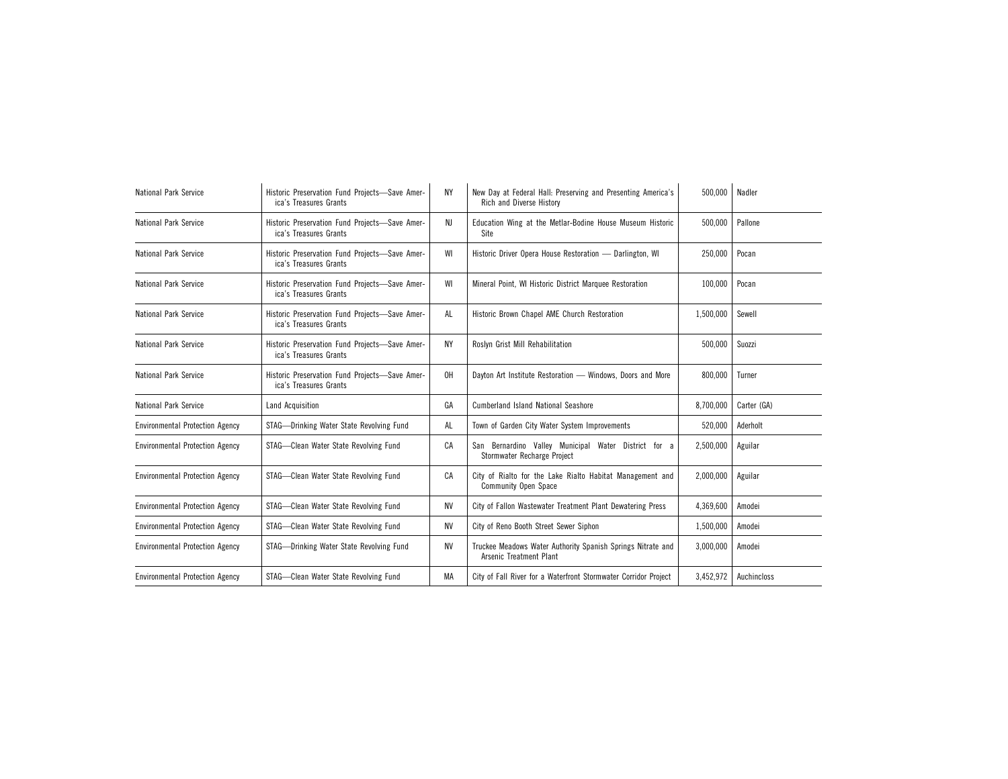| <b>National Park Service</b>           | Historic Preservation Fund Projects-Save Amer-<br>ica's Treasures Grants | ΝY | New Day at Federal Hall: Preserving and Presenting America's<br>Rich and Diverse History | 500,000   | Nadler      |  |
|----------------------------------------|--------------------------------------------------------------------------|----|------------------------------------------------------------------------------------------|-----------|-------------|--|
| <b>National Park Service</b>           | Historic Preservation Fund Projects-Save Amer-<br>ica's Treasures Grants | NJ | Education Wing at the Metlar-Bodine House Museum Historic<br>Site                        | 500,000   | Pallone     |  |
| <b>National Park Service</b>           | Historic Preservation Fund Projects-Save Amer-<br>ica's Treasures Grants | WI | Historic Driver Opera House Restoration - Darlington, WI                                 | 250,000   | Pocan       |  |
| <b>National Park Service</b>           | Historic Preservation Fund Projects-Save Amer-<br>ica's Treasures Grants | WI | Mineral Point, WI Historic District Marquee Restoration                                  | 100,000   | Pocan       |  |
| National Park Service                  | Historic Preservation Fund Projects-Save Amer-<br>ica's Treasures Grants | AL | Historic Brown Chapel AME Church Restoration                                             | 1,500,000 | Sewell      |  |
| National Park Service                  | Historic Preservation Fund Projects-Save Amer-<br>ica's Treasures Grants | ΝY | Roslyn Grist Mill Rehabilitation                                                         | 500,000   | Suozzi      |  |
| <b>National Park Service</b>           | Historic Preservation Fund Projects-Save Amer-<br>ica's Treasures Grants | 0H | Dayton Art Institute Restoration - Windows, Doors and More                               | 800,000   | Turner      |  |
| <b>National Park Service</b>           | Land Acquisition                                                         | GA | <b>Cumberland Island National Seashore</b>                                               | 8,700,000 | Carter (GA) |  |
| <b>Environmental Protection Agency</b> | STAG-Drinking Water State Revolving Fund                                 | AL | Town of Garden City Water System Improvements                                            | 520,000   | Aderholt    |  |
| <b>Environmental Protection Agency</b> | STAG-Clean Water State Revolving Fund                                    | СA | San Bernardino Valley Municipal Water District for a<br>Stormwater Recharge Project      | 2,500,000 | Aguilar     |  |
| <b>Environmental Protection Agency</b> | STAG-Clean Water State Revolving Fund                                    | СA | City of Rialto for the Lake Rialto Habitat Management and<br><b>Community Open Space</b> | 2,000,000 | Aguilar     |  |
| <b>Environmental Protection Agency</b> | STAG-Clean Water State Revolving Fund                                    | NV | City of Fallon Wastewater Treatment Plant Dewatering Press                               | 4,369,600 | Amodei      |  |
| <b>Environmental Protection Agency</b> | STAG-Clean Water State Revolving Fund                                    | NV | City of Reno Booth Street Sewer Siphon                                                   | 1,500,000 | Amodei      |  |
| <b>Environmental Protection Agency</b> | STAG-Drinking Water State Revolving Fund                                 | ΝV | Truckee Meadows Water Authority Spanish Springs Nitrate and<br>Arsenic Treatment Plant   | 3,000,000 | Amodei      |  |
| <b>Environmental Protection Agency</b> | STAG-Clean Water State Revolving Fund                                    | MA | City of Fall River for a Waterfront Stormwater Corridor Project                          | 3.452.972 | Auchincloss |  |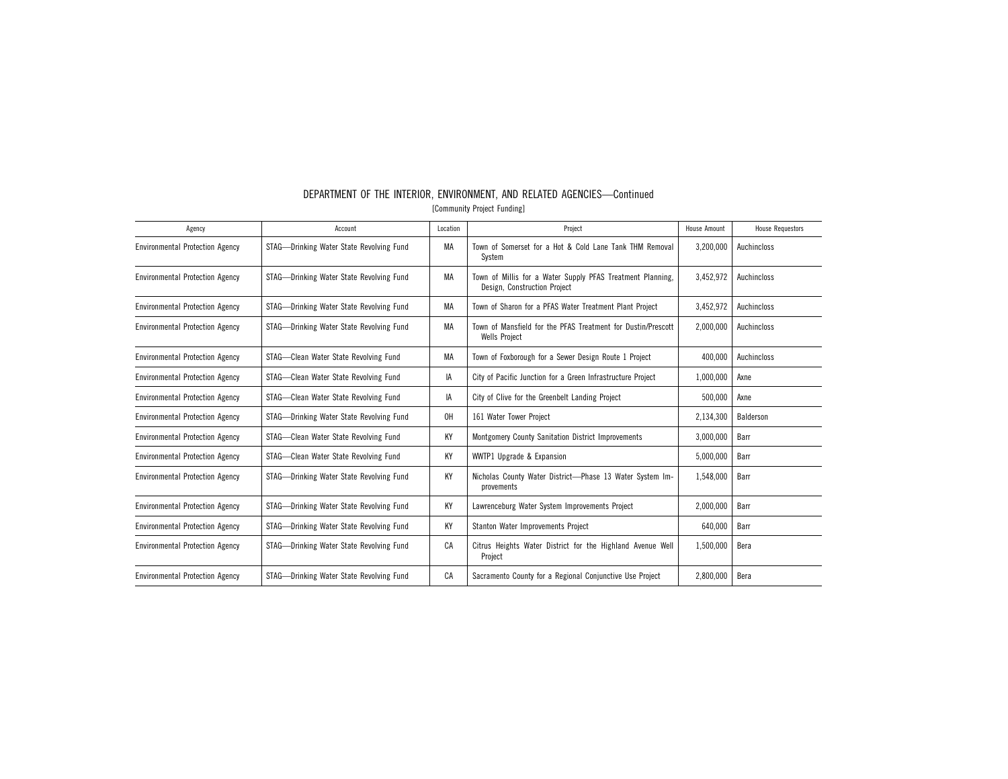| Agency                                 | Account                                  | Location | Project                                                                                    | <b>House Amount</b> | <b>House Requestors</b> |
|----------------------------------------|------------------------------------------|----------|--------------------------------------------------------------------------------------------|---------------------|-------------------------|
| <b>Environmental Protection Agency</b> | STAG-Drinking Water State Revolving Fund | MA       | Town of Somerset for a Hot & Cold Lane Tank THM Removal<br>System                          | 3,200,000           | Auchincloss             |
| <b>Environmental Protection Agency</b> | STAG—Drinking Water State Revolving Fund | МA       | Town of Millis for a Water Supply PFAS Treatment Planning,<br>Design, Construction Project | 3,452,972           | Auchincloss             |
| <b>Environmental Protection Agency</b> | STAG-Drinking Water State Revolving Fund | МA       | Town of Sharon for a PFAS Water Treatment Plant Project                                    | 3,452,972           | Auchincloss             |
| <b>Environmental Protection Agency</b> | STAG-Drinking Water State Revolving Fund | МA       | Town of Mansfield for the PFAS Treatment for Dustin/Prescott<br><b>Wells Project</b>       | 2.000.000           | Auchincloss             |
| <b>Environmental Protection Agency</b> | STAG-Clean Water State Revolving Fund    | МA       | Town of Foxborough for a Sewer Design Route 1 Project                                      | 400.000             | Auchincloss             |
| <b>Environmental Protection Agency</b> | STAG-Clean Water State Revolving Fund    | IA       | City of Pacific Junction for a Green Infrastructure Project                                | 1,000,000           | Axne                    |
| <b>Environmental Protection Agency</b> | STAG-Clean Water State Revolving Fund    | IA       | City of Clive for the Greenbelt Landing Project                                            | 500,000             | Axne                    |
| <b>Environmental Protection Agency</b> | STAG-Drinking Water State Revolving Fund | 0H       | 161 Water Tower Project                                                                    | 2,134,300           | Balderson               |
| <b>Environmental Protection Agency</b> | STAG-Clean Water State Revolving Fund    | KY       | <b>Montgomery County Sanitation District Improvements</b>                                  | 3,000,000           | Barr                    |
| <b>Environmental Protection Agency</b> | STAG-Clean Water State Revolving Fund    | KY       | WWTP1 Upgrade & Expansion                                                                  | 5,000,000           | Barr                    |
| <b>Environmental Protection Agency</b> | STAG-Drinking Water State Revolving Fund | KY       | Nicholas County Water District-Phase 13 Water System Im-<br>provements                     | 1,548,000           | Barr                    |
| <b>Environmental Protection Agency</b> | STAG-Drinking Water State Revolving Fund | KY       | Lawrenceburg Water System Improvements Project                                             | 2,000,000           | Barr                    |
| <b>Environmental Protection Agency</b> | STAG-Drinking Water State Revolving Fund | ΚY       | Stanton Water Improvements Project                                                         | 640,000             | Barr                    |
| <b>Environmental Protection Agency</b> | STAG-Drinking Water State Revolving Fund | CA       | Citrus Heights Water District for the Highland Avenue Well<br>Project                      | 1,500,000           | Bera                    |
| <b>Environmental Protection Agency</b> | STAG-Drinking Water State Revolving Fund | CA       | Sacramento County for a Regional Conjunctive Use Project                                   | 2,800,000           | Bera                    |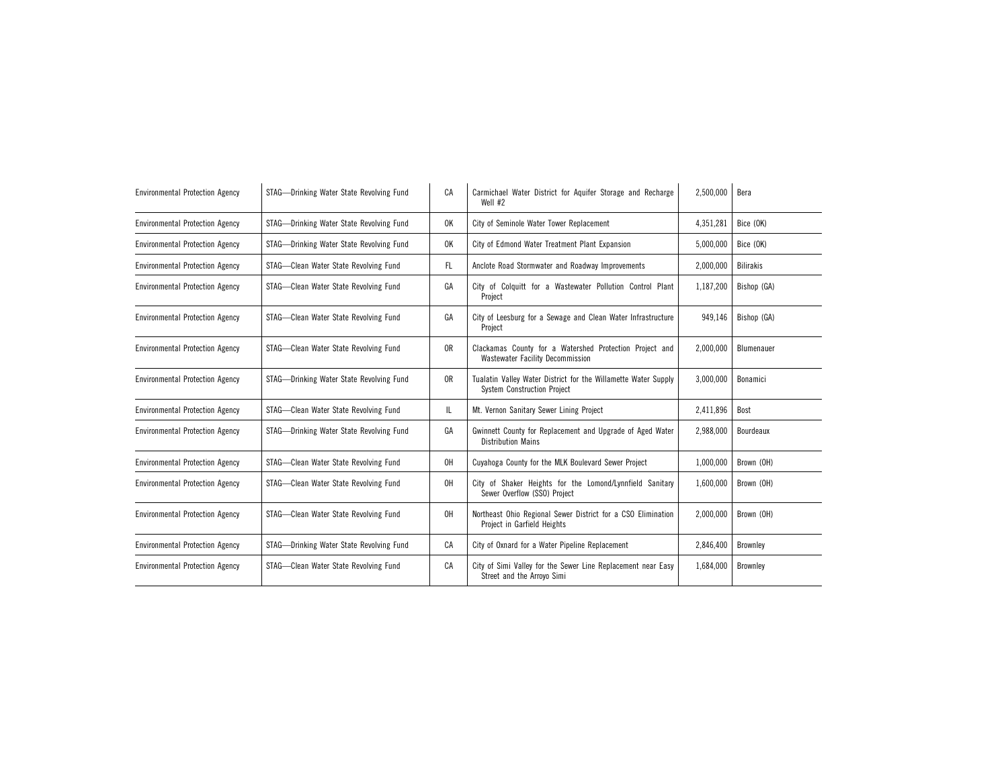| <b>Environmental Protection Agency</b> | STAG-Drinking Water State Revolving Fund | СA             | Carmichael Water District for Aquifer Storage and Recharge<br>Well #2                                | 2,500,000 | Bera             |
|----------------------------------------|------------------------------------------|----------------|------------------------------------------------------------------------------------------------------|-----------|------------------|
| <b>Environmental Protection Agency</b> | STAG-Drinking Water State Revolving Fund | 0K             | City of Seminole Water Tower Replacement                                                             | 4,351,281 | Bice (OK)        |
| <b>Environmental Protection Agency</b> | STAG-Drinking Water State Revolving Fund | 0K             | City of Edmond Water Treatment Plant Expansion                                                       | 5,000,000 | Bice (OK)        |
| <b>Environmental Protection Agency</b> | STAG-Clean Water State Revolving Fund    | FL.            | Anclote Road Stormwater and Roadway Improvements                                                     | 2,000,000 | <b>Bilirakis</b> |
| <b>Environmental Protection Agency</b> | STAG-Clean Water State Revolving Fund    | GA             | City of Colquitt for a Wastewater Pollution Control Plant<br>Project                                 | 1,187,200 | Bishop (GA)      |
| <b>Environmental Protection Agency</b> | STAG-Clean Water State Revolving Fund    | GA             | City of Leesburg for a Sewage and Clean Water Infrastructure<br>Project                              | 949.146   | Bishop (GA)      |
| <b>Environmental Protection Agency</b> | STAG-Clean Water State Revolving Fund    | 0 <sub>R</sub> | Clackamas County for a Watershed Protection Project and<br><b>Wastewater Facility Decommission</b>   | 2,000,000 | Blumenauer       |
| <b>Environmental Protection Agency</b> | STAG-Drinking Water State Revolving Fund | 0R             | Tualatin Valley Water District for the Willamette Water Supply<br><b>System Construction Project</b> | 3,000,000 | Bonamici         |
| <b>Environmental Protection Agency</b> | STAG-Clean Water State Revolving Fund    | IL.            | Mt. Vernon Sanitary Sewer Lining Project                                                             | 2,411,896 | Bost             |
| <b>Environmental Protection Agency</b> | STAG-Drinking Water State Revolving Fund | GA             | Gwinnett County for Replacement and Upgrade of Aged Water<br><b>Distribution Mains</b>               | 2,988,000 | Bourdeaux        |
| <b>Environmental Protection Agency</b> | STAG-Clean Water State Revolving Fund    | 0H             | Cuyahoga County for the MLK Boulevard Sewer Project                                                  | 1,000,000 | Brown (OH)       |
| <b>Environmental Protection Agency</b> | STAG-Clean Water State Revolving Fund    | 0H             | City of Shaker Heights for the Lomond/Lynnfield Sanitary<br>Sewer Overflow (SSO) Project             | 1,600,000 | Brown (OH)       |
| <b>Environmental Protection Agency</b> | STAG-Clean Water State Revolving Fund    | 0H             | Northeast Ohio Regional Sewer District for a CSO Elimination<br>Project in Garfield Heights          | 2,000,000 | Brown (OH)       |
| <b>Environmental Protection Agency</b> | STAG-Drinking Water State Revolving Fund | CA             | City of Oxnard for a Water Pipeline Replacement                                                      | 2,846,400 | Brownley         |
| <b>Environmental Protection Agency</b> | STAG-Clean Water State Revolving Fund    | СA             | City of Simi Valley for the Sewer Line Replacement near Easy<br>Street and the Arroyo Simi           | 1,684,000 | Brownley         |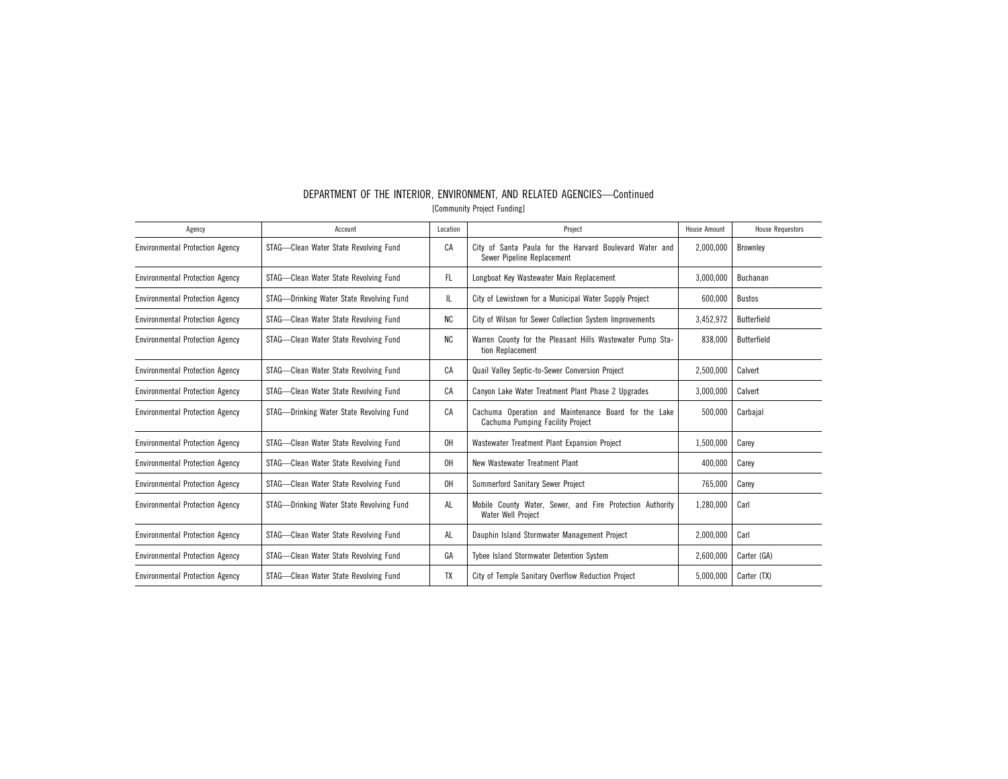| Agency                                 | Account                                  | Location  | Project                                                                                  | <b>House Amount</b> | <b>House Requestors</b> |
|----------------------------------------|------------------------------------------|-----------|------------------------------------------------------------------------------------------|---------------------|-------------------------|
| <b>Environmental Protection Agency</b> | STAG-Clean Water State Revolving Fund    | CA        | City of Santa Paula for the Harvard Boulevard Water and<br>Sewer Pipeline Replacement    | 2,000,000           | <b>Brownley</b>         |
| <b>Environmental Protection Agency</b> | STAG-Clean Water State Revolving Fund    | FL.       | Longboat Key Wastewater Main Replacement                                                 | 3,000,000           | Buchanan                |
| <b>Environmental Protection Agency</b> | STAG-Drinking Water State Revolving Fund | IL.       | City of Lewistown for a Municipal Water Supply Project                                   | 600,000             | Bustos                  |
| <b>Environmental Protection Agency</b> | STAG-Clean Water State Revolving Fund    | <b>NC</b> | City of Wilson for Sewer Collection System Improvements                                  | 3,452,972           | Butterfield             |
| <b>Environmental Protection Agency</b> | STAG-Clean Water State Revolving Fund    | <b>NC</b> | Warren County for the Pleasant Hills Wastewater Pump Sta-<br>tion Replacement            | 838,000             | Butterfield             |
| <b>Environmental Protection Agency</b> | STAG-Clean Water State Revolving Fund    | СA        | Quail Valley Septic-to-Sewer Conversion Project                                          | 2,500,000           | Calvert                 |
| <b>Environmental Protection Agency</b> | STAG-Clean Water State Revolving Fund    | CA        | Canyon Lake Water Treatment Plant Phase 2 Upgrades                                       | 3.000.000           | Calvert                 |
| <b>Environmental Protection Agency</b> | STAG-Drinking Water State Revolving Fund | CA        | Cachuma Operation and Maintenance Board for the Lake<br>Cachuma Pumping Facility Project | 500,000             | Carbajal                |
| <b>Environmental Protection Agency</b> | STAG-Clean Water State Revolving Fund    | 0H        | Wastewater Treatment Plant Expansion Project                                             | 1,500,000           | Carev                   |
| <b>Environmental Protection Agency</b> | STAG-Clean Water State Revolving Fund    | 0H        | New Wastewater Treatment Plant                                                           | 400,000             | Carey                   |
| <b>Environmental Protection Agency</b> | STAG-Clean Water State Revolving Fund    | 0H        | Summerford Sanitary Sewer Project                                                        | 765,000             | Carey                   |
| <b>Environmental Protection Agency</b> | STAG-Drinking Water State Revolving Fund | AL        | Mobile County Water, Sewer, and Fire Protection Authority<br>Water Well Project          | 1,280,000           | Carl                    |
| <b>Environmental Protection Agency</b> | STAG-Clean Water State Revolving Fund    | AL        | Dauphin Island Stormwater Management Project                                             | 2,000,000           | Carl                    |
| <b>Environmental Protection Agency</b> | STAG-Clean Water State Revolving Fund    | GA        | Tybee Island Stormwater Detention System                                                 | 2,600,000           | Carter (GA)             |
| <b>Environmental Protection Agency</b> | STAG-Clean Water State Revolving Fund    | <b>TX</b> | City of Temple Sanitary Overflow Reduction Project                                       | 5,000,000           | Carter (TX)             |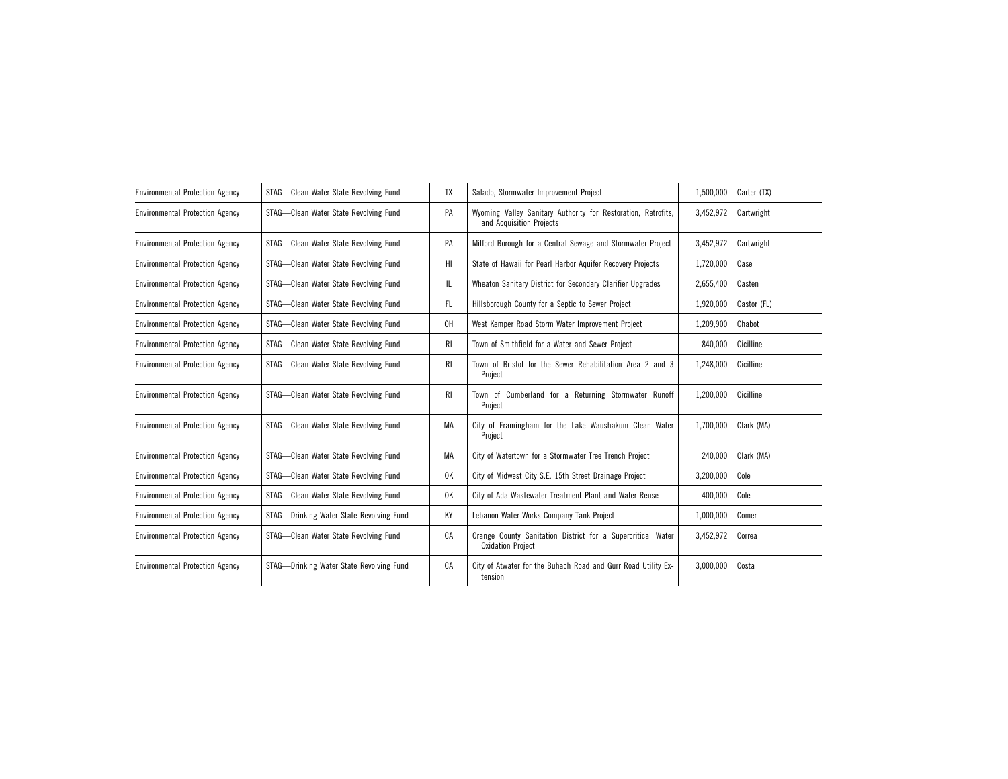| <b>Environmental Protection Agency</b> | STAG-Clean Water State Revolving Fund    | TX  | Salado, Stormwater Improvement Project                                                    | 1,500,000 | Carter (TX) |
|----------------------------------------|------------------------------------------|-----|-------------------------------------------------------------------------------------------|-----------|-------------|
| <b>Environmental Protection Agency</b> | STAG-Clean Water State Revolving Fund    | PA  | Wyoming Valley Sanitary Authority for Restoration, Retrofits,<br>and Acquisition Projects | 3,452,972 | Cartwright  |
| <b>Environmental Protection Agency</b> | STAG-Clean Water State Revolving Fund    | PA  | Milford Borough for a Central Sewage and Stormwater Project                               | 3,452,972 | Cartwright  |
| <b>Environmental Protection Agency</b> | STAG-Clean Water State Revolving Fund    | HI  | State of Hawaii for Pearl Harbor Aquifer Recovery Projects                                | 1,720,000 | Case        |
| <b>Environmental Protection Agency</b> | STAG-Clean Water State Revolving Fund    | IL  | Wheaton Sanitary District for Secondary Clarifier Upgrades                                | 2,655,400 | Casten      |
| <b>Environmental Protection Agency</b> | STAG-Clean Water State Revolving Fund    | FL. | Hillsborough County for a Septic to Sewer Project                                         | 1,920,000 | Castor (FL) |
| <b>Environmental Protection Agency</b> | STAG-Clean Water State Revolving Fund    | 0H  | West Kemper Road Storm Water Improvement Project                                          | 1,209,900 | Chabot      |
| <b>Environmental Protection Agency</b> | STAG-Clean Water State Revolving Fund    | RI. | Town of Smithfield for a Water and Sewer Project                                          | 840,000   | Cicilline   |
| <b>Environmental Protection Agency</b> | STAG-Clean Water State Revolving Fund    | RI. | Town of Bristol for the Sewer Rehabilitation Area 2 and 3<br>Project                      | 1,248,000 | Cicilline   |
| <b>Environmental Protection Agency</b> | STAG-Clean Water State Revolving Fund    | RI. | Town of Cumberland for a Returning Stormwater Runoff<br>Project                           | 1,200,000 | Cicilline   |
| <b>Environmental Protection Agency</b> | STAG-Clean Water State Revolving Fund    | MA  | City of Framingham for the Lake Waushakum Clean Water<br>Project                          | 1,700,000 | Clark (MA)  |
| <b>Environmental Protection Agency</b> | STAG-Clean Water State Revolving Fund    | МA  | City of Watertown for a Stormwater Tree Trench Project                                    | 240,000   | Clark (MA)  |
| <b>Environmental Protection Agency</b> | STAG-Clean Water State Revolving Fund    | 0K  | City of Midwest City S.E. 15th Street Drainage Project                                    | 3,200,000 | Cole        |
| <b>Environmental Protection Agency</b> | STAG-Clean Water State Revolving Fund    | 0K  | City of Ada Wastewater Treatment Plant and Water Reuse                                    | 400,000   | Cole        |
| <b>Environmental Protection Agency</b> | STAG-Drinking Water State Revolving Fund | КY  | Lebanon Water Works Company Tank Project                                                  | 1,000,000 | Comer       |
| <b>Environmental Protection Agency</b> | STAG-Clean Water State Revolving Fund    | CA  | Orange County Sanitation District for a Supercritical Water<br><b>Oxidation Project</b>   | 3,452,972 | Correa      |
| <b>Environmental Protection Agency</b> | STAG-Drinking Water State Revolving Fund | CA  | City of Atwater for the Buhach Road and Gurr Road Utility Ex-<br>tension                  | 3,000,000 | Costa       |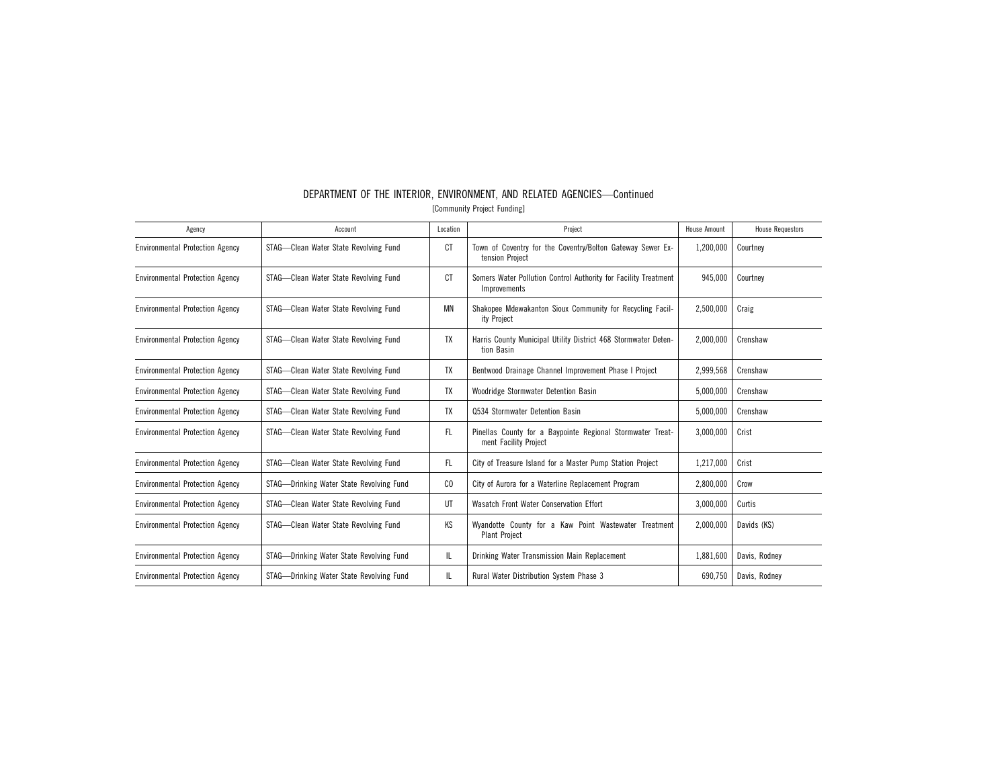| Agency                                 | Account                                  | Location       | Project                                                                             | <b>House Amount</b> | <b>House Requestors</b> |
|----------------------------------------|------------------------------------------|----------------|-------------------------------------------------------------------------------------|---------------------|-------------------------|
| <b>Environmental Protection Agency</b> | STAG-Clean Water State Revolving Fund    | СT             | Town of Coventry for the Coventry/Bolton Gateway Sewer Ex-<br>tension Project       | 1,200,000           | Courtney                |
| <b>Environmental Protection Agency</b> | STAG-Clean Water State Revolving Fund    | CT             | Somers Water Pollution Control Authority for Facility Treatment<br>Improvements     | 945.000             | Courtney                |
| <b>Environmental Protection Agency</b> | STAG-Clean Water State Revolving Fund    | MN             | Shakopee Mdewakanton Sioux Community for Recycling Facil-<br>ity Project            | 2,500,000           | Craig                   |
| <b>Environmental Protection Agency</b> | STAG-Clean Water State Revolving Fund    | TX             | Harris County Municipal Utility District 468 Stormwater Deten-<br>tion Basin        | 2,000,000           | Crenshaw                |
| <b>Environmental Protection Agency</b> | STAG-Clean Water State Revolving Fund    | TX             | Bentwood Drainage Channel Improvement Phase I Project                               | 2,999,568           | Crenshaw                |
| <b>Environmental Protection Agency</b> | STAG-Clean Water State Revolving Fund    | TX             | Woodridge Stormwater Detention Basin                                                | 5,000,000           | Crenshaw                |
| <b>Environmental Protection Agency</b> | STAG-Clean Water State Revolving Fund    | <b>TX</b>      | 0534 Stormwater Detention Basin                                                     | 5,000,000           | Crenshaw                |
| <b>Environmental Protection Agency</b> | STAG-Clean Water State Revolving Fund    | FL.            | Pinellas County for a Baypointe Regional Stormwater Treat-<br>ment Facility Project | 3,000,000           | Crist                   |
| <b>Environmental Protection Agency</b> | STAG-Clean Water State Revolving Fund    | FL.            | City of Treasure Island for a Master Pump Station Project                           | 1,217,000           | Crist                   |
| <b>Environmental Protection Agency</b> | STAG—Drinking Water State Revolving Fund | C <sub>0</sub> | City of Aurora for a Waterline Replacement Program                                  | 2,800,000           | Crow                    |
| <b>Environmental Protection Agency</b> | STAG-Clean Water State Revolving Fund    | UT             | Wasatch Front Water Conservation Effort                                             | 3,000,000           | Curtis                  |
| <b>Environmental Protection Agency</b> | STAG-Clean Water State Revolving Fund    | KS             | Wyandotte County for a Kaw Point Wastewater Treatment<br><b>Plant Project</b>       | 2,000,000           | Davids (KS)             |
| <b>Environmental Protection Agency</b> | STAG-Drinking Water State Revolving Fund | IL.            | Drinking Water Transmission Main Replacement                                        | 1.881.600           | Davis, Rodney           |
| <b>Environmental Protection Agency</b> | STAG-Drinking Water State Revolving Fund | IL.            | Rural Water Distribution System Phase 3                                             | 690,750             | Davis, Rodney           |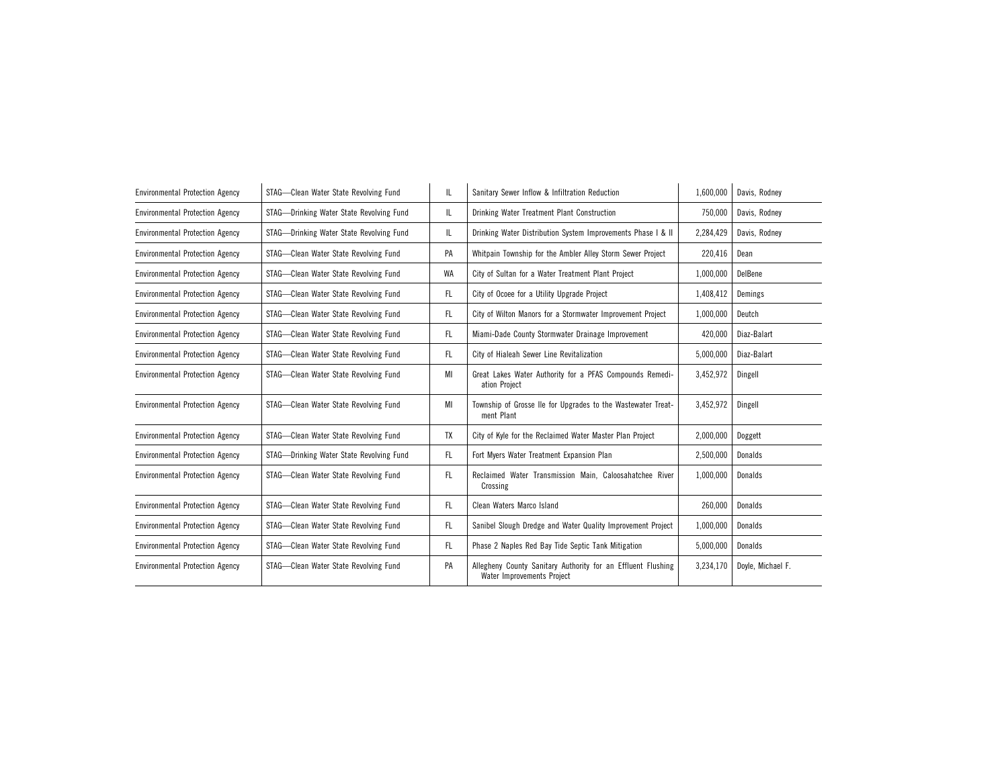| <b>Environmental Protection Agency</b> | STAG-Clean Water State Revolving Fund    | IL. | Sanitary Sewer Inflow & Infiltration Reduction                                             | 1,600,000 | Davis, Rodney     |
|----------------------------------------|------------------------------------------|-----|--------------------------------------------------------------------------------------------|-----------|-------------------|
| <b>Environmental Protection Agency</b> | STAG-Drinking Water State Revolving Fund | IL. | Drinking Water Treatment Plant Construction                                                | 750,000   | Davis, Rodney     |
| <b>Environmental Protection Agency</b> | STAG-Drinking Water State Revolving Fund | IL. | Drinking Water Distribution System Improvements Phase I & II                               | 2,284,429 | Davis, Rodney     |
| <b>Environmental Protection Agency</b> | STAG-Clean Water State Revolving Fund    | PA  | Whitpain Township for the Ambler Alley Storm Sewer Project                                 | 220,416   | Dean              |
| <b>Environmental Protection Agency</b> | STAG-Clean Water State Revolving Fund    | WA  | City of Sultan for a Water Treatment Plant Project                                         | 1,000,000 | DelBene           |
| <b>Environmental Protection Agency</b> | STAG-Clean Water State Revolving Fund    | FL. | City of Ocoee for a Utility Upgrade Project                                                | 1,408,412 | Demings           |
| <b>Environmental Protection Agency</b> | STAG-Clean Water State Revolving Fund    | FL. | City of Wilton Manors for a Stormwater Improvement Project                                 | 1,000,000 | Deutch            |
| <b>Environmental Protection Agency</b> | STAG-Clean Water State Revolving Fund    | FL. | Miami-Dade County Stormwater Drainage Improvement                                          | 420.000   | Diaz-Balart       |
| <b>Environmental Protection Agency</b> | STAG-Clean Water State Revolving Fund    | FL. | City of Hialeah Sewer Line Revitalization                                                  | 5,000,000 | Diaz-Balart       |
| <b>Environmental Protection Agency</b> | STAG-Clean Water State Revolving Fund    | MI  | Great Lakes Water Authority for a PFAS Compounds Remedi-<br>ation Project                  | 3,452,972 | Dingell           |
| <b>Environmental Protection Agency</b> | STAG-Clean Water State Revolving Fund    | MI  | Township of Grosse Ile for Upgrades to the Wastewater Treat-<br>ment Plant                 | 3,452,972 | Dingell           |
| <b>Environmental Protection Agency</b> | STAG-Clean Water State Revolving Fund    | TX  | City of Kyle for the Reclaimed Water Master Plan Project                                   | 2,000,000 | Doggett           |
| <b>Environmental Protection Agency</b> | STAG-Drinking Water State Revolving Fund | FL. | Fort Myers Water Treatment Expansion Plan                                                  | 2,500,000 | Donalds           |
| <b>Environmental Protection Agency</b> | STAG-Clean Water State Revolving Fund    | FL. | Reclaimed Water Transmission Main, Caloosahatchee River<br>Crossing                        | 1,000,000 | Donalds           |
| <b>Environmental Protection Agency</b> | STAG-Clean Water State Revolving Fund    | FL. | Clean Waters Marco Island                                                                  | 260,000   | Donalds           |
| <b>Environmental Protection Agency</b> | STAG-Clean Water State Revolving Fund    | FL. | Sanibel Slough Dredge and Water Quality Improvement Project                                | 1,000,000 | <b>Donalds</b>    |
| <b>Environmental Protection Agency</b> | STAG-Clean Water State Revolving Fund    | FL. | Phase 2 Naples Red Bay Tide Septic Tank Mitigation                                         | 5,000,000 | Donalds           |
| <b>Environmental Protection Agency</b> | STAG-Clean Water State Revolving Fund    | PA  | Allegheny County Sanitary Authority for an Effluent Flushing<br>Water Improvements Project | 3,234,170 | Doyle, Michael F. |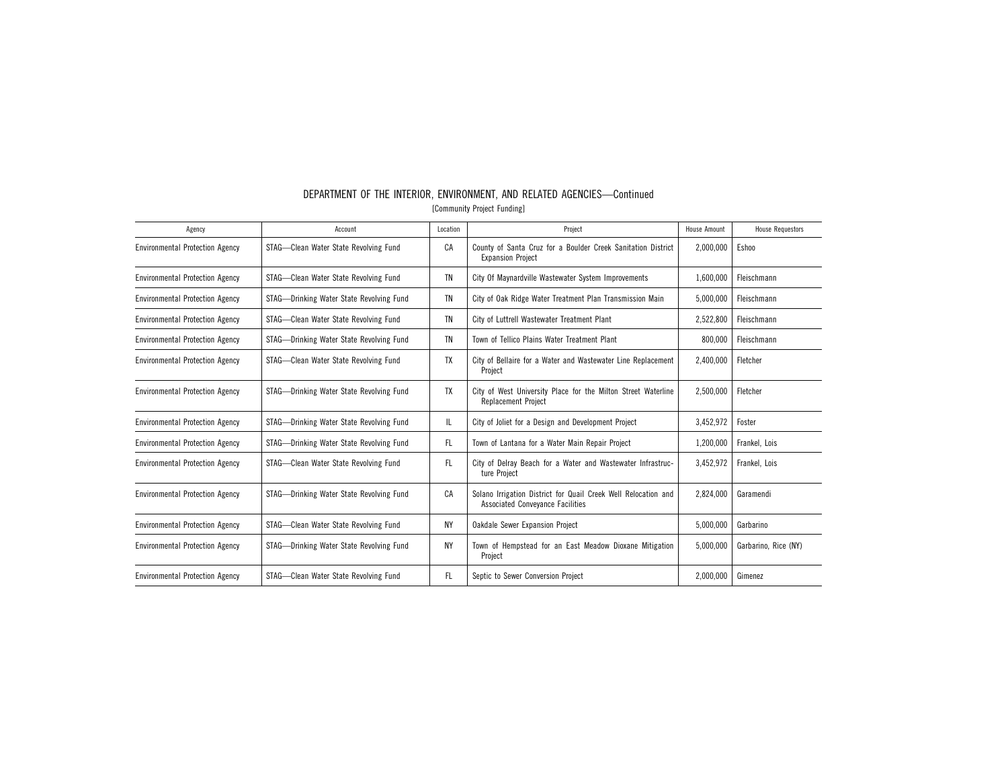| Agency                                 | Account                                  | Location  | Project                                                                                            | <b>House Amount</b> | <b>House Requestors</b> |
|----------------------------------------|------------------------------------------|-----------|----------------------------------------------------------------------------------------------------|---------------------|-------------------------|
| <b>Environmental Protection Agency</b> | STAG-Clean Water State Revolving Fund    | CA        | County of Santa Cruz for a Boulder Creek Sanitation District<br><b>Expansion Project</b>           | 2,000,000           | Eshoo                   |
| <b>Environmental Protection Agency</b> | STAG-Clean Water State Revolving Fund    | TN        | City Of Maynardville Wastewater System Improvements                                                | 1,600,000           | Fleischmann             |
| <b>Environmental Protection Agency</b> | STAG-Drinking Water State Revolving Fund | <b>TN</b> | City of Oak Ridge Water Treatment Plan Transmission Main                                           | 5,000,000           | Fleischmann             |
| <b>Environmental Protection Agency</b> | STAG-Clean Water State Revolving Fund    | TN        | City of Luttrell Wastewater Treatment Plant                                                        | 2,522,800           | Fleischmann             |
| <b>Environmental Protection Agency</b> | STAG-Drinking Water State Revolving Fund | <b>TN</b> | Town of Tellico Plains Water Treatment Plant                                                       | 800,000             | Fleischmann             |
| <b>Environmental Protection Agency</b> | STAG-Clean Water State Revolving Fund    | TX        | City of Bellaire for a Water and Wastewater Line Replacement<br>Project                            | 2,400,000           | Fletcher                |
| <b>Environmental Protection Agency</b> | STAG-Drinking Water State Revolving Fund | TX        | City of West University Place for the Milton Street Waterline<br><b>Replacement Project</b>        | 2.500.000           | Fletcher                |
| <b>Environmental Protection Agency</b> | STAG-Drinking Water State Revolving Fund | IL.       | City of Joliet for a Design and Development Project                                                | 3,452,972           | Foster                  |
| <b>Environmental Protection Agency</b> | STAG-Drinking Water State Revolving Fund | FL.       | Town of Lantana for a Water Main Repair Project                                                    | 1,200,000           | Frankel, Lois           |
| <b>Environmental Protection Agency</b> | STAG-Clean Water State Revolving Fund    | FL        | City of Delray Beach for a Water and Wastewater Infrastruc-<br>ture Project                        | 3,452,972           | Frankel, Lois           |
| <b>Environmental Protection Agency</b> | STAG-Drinking Water State Revolving Fund | CA        | Solano Irrigation District for Quail Creek Well Relocation and<br>Associated Conveyance Facilities | 2,824,000           | Garamendi               |
| <b>Environmental Protection Agency</b> | STAG-Clean Water State Revolving Fund    | NΥ        | Oakdale Sewer Expansion Project                                                                    | 5,000,000           | Garbarino               |
| <b>Environmental Protection Agency</b> | STAG-Drinking Water State Revolving Fund | ΝY        | Town of Hempstead for an East Meadow Dioxane Mitigation<br>Project                                 | 5.000.000           | Garbarino. Rice (NY)    |
| <b>Environmental Protection Agency</b> | STAG-Clean Water State Revolving Fund    | FL.       | Septic to Sewer Conversion Project                                                                 | 2,000,000           | Gimenez                 |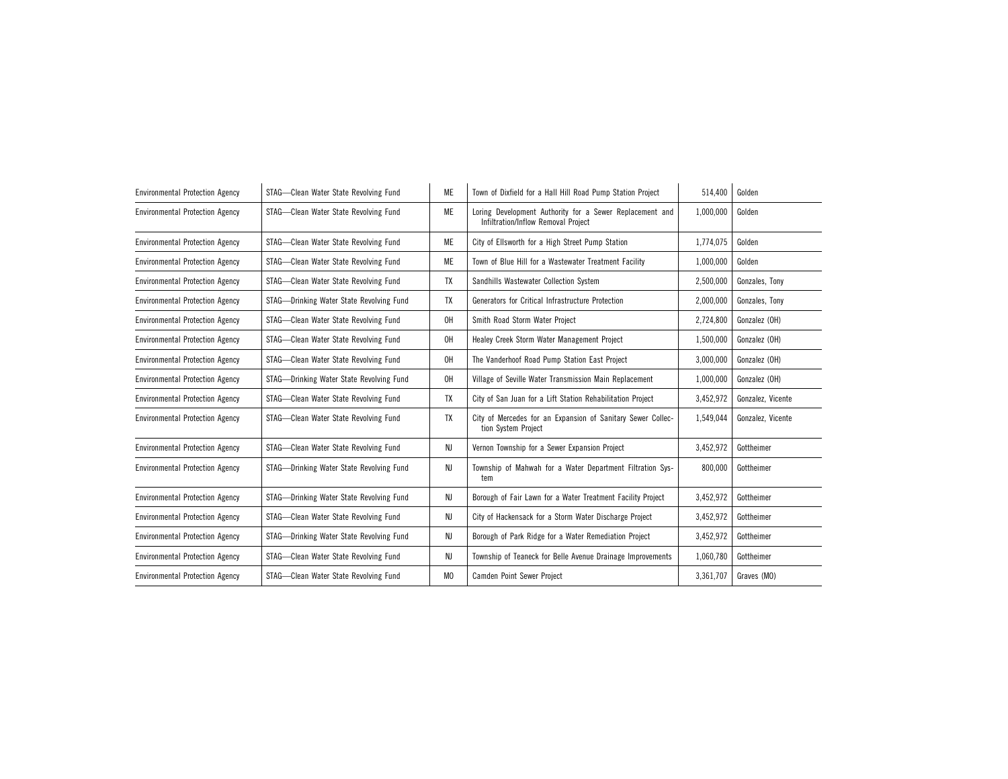| <b>Environmental Protection Agency</b> | STAG-Clean Water State Revolving Fund    | ME             | Town of Dixfield for a Hall Hill Road Pump Station Project                                      | 514,400   | Golden            |
|----------------------------------------|------------------------------------------|----------------|-------------------------------------------------------------------------------------------------|-----------|-------------------|
| <b>Environmental Protection Agency</b> | STAG-Clean Water State Revolving Fund    | ME             | Loring Development Authority for a Sewer Replacement and<br>Infiltration/Inflow Removal Project | 1,000,000 | Golden            |
| <b>Environmental Protection Agency</b> | STAG-Clean Water State Revolving Fund    | ME             | City of Ellsworth for a High Street Pump Station                                                | 1,774,075 | Golden            |
| <b>Environmental Protection Agency</b> | STAG-Clean Water State Revolving Fund    | ME             | Town of Blue Hill for a Wastewater Treatment Facility                                           | 1,000,000 | Golden            |
| <b>Environmental Protection Agency</b> | STAG-Clean Water State Revolving Fund    | TX             | Sandhills Wastewater Collection System                                                          | 2,500,000 | Gonzales, Tony    |
| <b>Environmental Protection Agency</b> | STAG-Drinking Water State Revolving Fund | TX             | Generators for Critical Infrastructure Protection                                               | 2,000,000 | Gonzales, Tony    |
| <b>Environmental Protection Agency</b> | STAG-Clean Water State Revolving Fund    | 0H             | Smith Road Storm Water Project                                                                  | 2,724,800 | Gonzalez (OH)     |
| <b>Environmental Protection Agency</b> | STAG-Clean Water State Revolving Fund    | 0H             | Healey Creek Storm Water Management Project                                                     | 1,500,000 | Gonzalez (OH)     |
| <b>Environmental Protection Agency</b> | STAG-Clean Water State Revolving Fund    | OH             | The Vanderhoof Road Pump Station East Project                                                   | 3,000,000 | Gonzalez (OH)     |
| <b>Environmental Protection Agency</b> | STAG-Drinking Water State Revolving Fund | OH             | Village of Seville Water Transmission Main Replacement                                          | 1,000,000 | Gonzalez (OH)     |
| <b>Environmental Protection Agency</b> | STAG-Clean Water State Revolving Fund    | TX             | City of San Juan for a Lift Station Rehabilitation Project                                      | 3,452,972 | Gonzalez, Vicente |
| <b>Environmental Protection Agency</b> | STAG-Clean Water State Revolving Fund    | TX             | City of Mercedes for an Expansion of Sanitary Sewer Collec-<br>tion System Project              | 1,549,044 | Gonzalez, Vicente |
| <b>Environmental Protection Agency</b> | STAG-Clean Water State Revolving Fund    | NJ             | Vernon Township for a Sewer Expansion Project                                                   | 3,452,972 | Gottheimer        |
| <b>Environmental Protection Agency</b> | STAG-Drinking Water State Revolving Fund | NJ             | Township of Mahwah for a Water Department Filtration Sys-<br>tem                                | 800,000   | Gottheimer        |
| <b>Environmental Protection Agency</b> | STAG-Drinking Water State Revolving Fund | NJ             | Borough of Fair Lawn for a Water Treatment Facility Project                                     | 3,452,972 | Gottheimer        |
| <b>Environmental Protection Agency</b> | STAG-Clean Water State Revolving Fund    | NJ             | City of Hackensack for a Storm Water Discharge Project                                          | 3,452,972 | Gottheimer        |
| <b>Environmental Protection Agency</b> | STAG-Drinking Water State Revolving Fund | NJ             | Borough of Park Ridge for a Water Remediation Project                                           | 3,452,972 | Gottheimer        |
| <b>Environmental Protection Agency</b> | STAG-Clean Water State Revolving Fund    | NJ             | Township of Teaneck for Belle Avenue Drainage Improvements                                      | 1,060,780 | Gottheimer        |
| <b>Environmental Protection Agency</b> | STAG-Clean Water State Revolving Fund    | M <sub>0</sub> | Camden Point Sewer Project                                                                      | 3,361,707 | Graves (MO)       |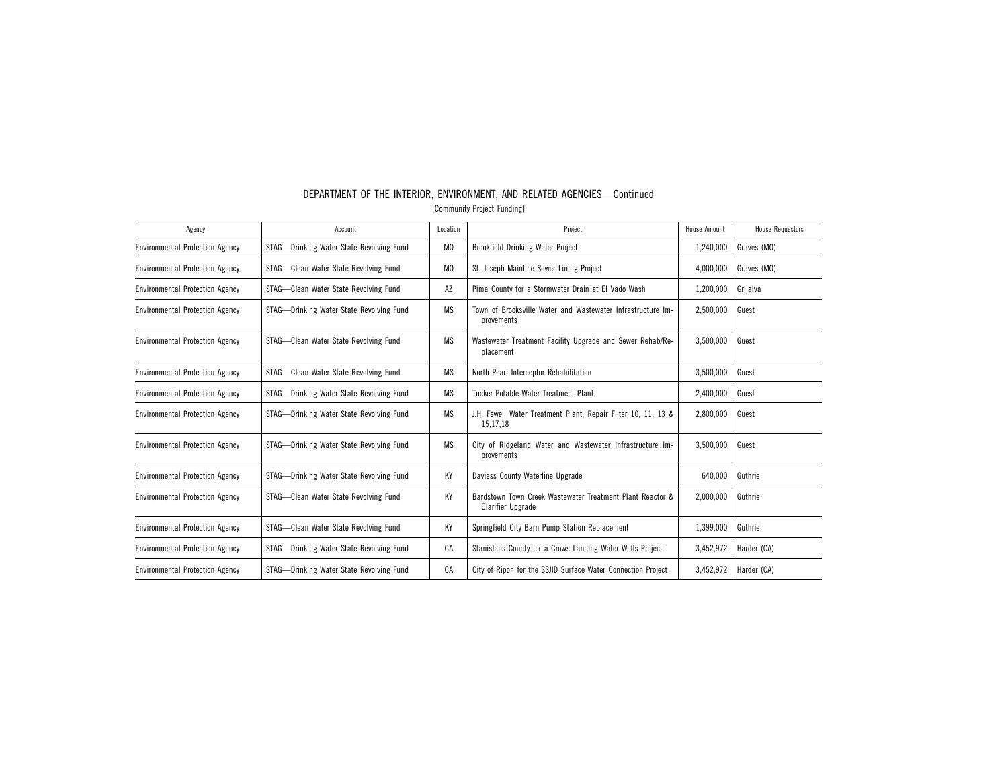| Agency                                 | Account                                  | Location       | Project                                                                               | <b>House Amount</b> | <b>House Requestors</b> |
|----------------------------------------|------------------------------------------|----------------|---------------------------------------------------------------------------------------|---------------------|-------------------------|
| <b>Environmental Protection Agency</b> | STAG-Drinking Water State Revolving Fund | M <sub>0</sub> | <b>Brookfield Drinking Water Project</b>                                              | 1,240,000           | Graves (MO)             |
| <b>Environmental Protection Agency</b> | STAG-Clean Water State Revolving Fund    | M <sub>0</sub> | St. Joseph Mainline Sewer Lining Project                                              | 4,000,000           | Graves (MO)             |
| <b>Environmental Protection Agency</b> | STAG-Clean Water State Revolving Fund    | AZ             | Pima County for a Stormwater Drain at El Vado Wash                                    | 1,200,000           | Grijalva                |
| <b>Environmental Protection Agency</b> | STAG-Drinking Water State Revolving Fund | MS             | Town of Brooksville Water and Wastewater Infrastructure Im-<br>provements             | 2,500,000           | Guest                   |
| <b>Environmental Protection Agency</b> | STAG-Clean Water State Revolving Fund    | <b>MS</b>      | Wastewater Treatment Facility Upgrade and Sewer Rehab/Re-<br>placement                | 3,500,000           | Guest                   |
| <b>Environmental Protection Agency</b> | STAG-Clean Water State Revolving Fund    | MS             | North Pearl Interceptor Rehabilitation                                                | 3,500,000           | Guest                   |
| <b>Environmental Protection Agency</b> | STAG-Drinking Water State Revolving Fund | <b>MS</b>      | Tucker Potable Water Treatment Plant                                                  | 2,400,000           | Guest                   |
| <b>Environmental Protection Agency</b> | STAG-Drinking Water State Revolving Fund | <b>MS</b>      | J.H. Fewell Water Treatment Plant, Repair Filter 10, 11, 13 &<br>15,17,18             | 2,800,000           | Guest                   |
| <b>Environmental Protection Agency</b> | STAG—Drinking Water State Revolving Fund | <b>MS</b>      | City of Ridgeland Water and Wastewater Infrastructure Im-<br>provements               | 3,500,000           | Guest                   |
| <b>Environmental Protection Agency</b> | STAG-Drinking Water State Revolving Fund | KY             | Daviess County Waterline Upgrade                                                      | 640,000             | Guthrie                 |
| <b>Environmental Protection Agency</b> | STAG-Clean Water State Revolving Fund    | KY             | Bardstown Town Creek Wastewater Treatment Plant Reactor &<br><b>Clarifier Upgrade</b> | 2,000,000           | Guthrie                 |
| <b>Environmental Protection Agency</b> | STAG-Clean Water State Revolving Fund    | KY             | Springfield City Barn Pump Station Replacement                                        | 1,399,000           | Guthrie                 |
| <b>Environmental Protection Agency</b> | STAG-Drinking Water State Revolving Fund | CA             | Stanislaus County for a Crows Landing Water Wells Project                             | 3,452,972           | Harder (CA)             |
| <b>Environmental Protection Agency</b> | STAG-Drinking Water State Revolving Fund | CA             | City of Ripon for the SSJID Surface Water Connection Project                          | 3,452,972           | Harder (CA)             |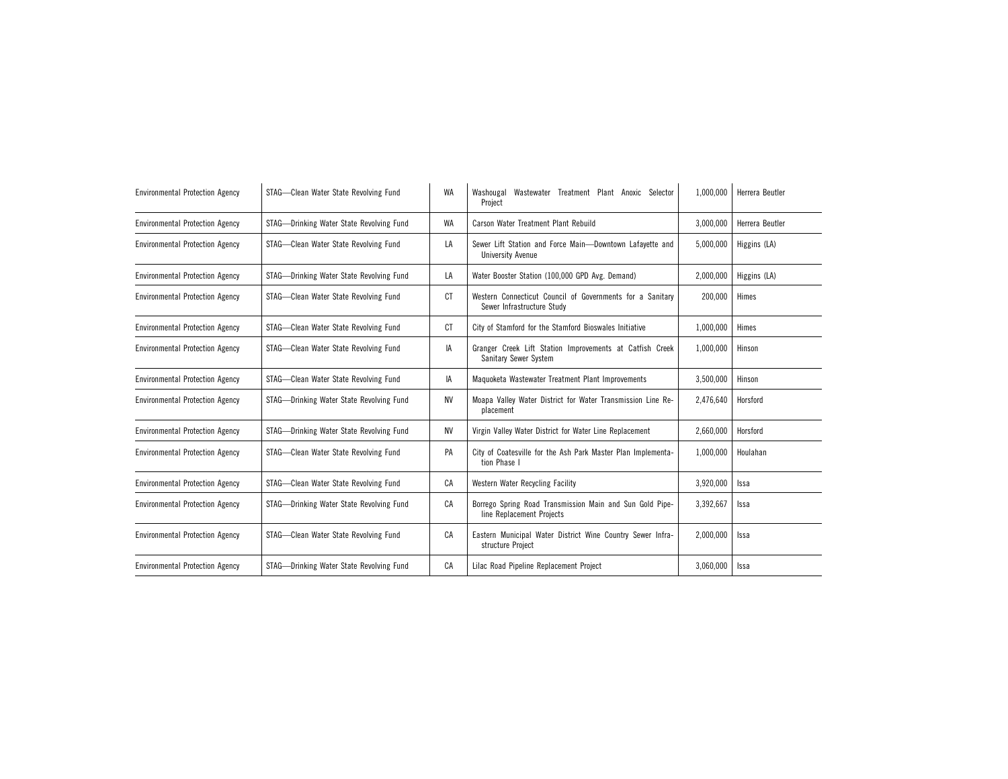| <b>Environmental Protection Agency</b> | STAG-Clean Water State Revolving Fund    | WA        | Washougal Wastewater Treatment Plant Anoxic Selector<br>Project                         | 1,000,000 | Herrera Beutler |
|----------------------------------------|------------------------------------------|-----------|-----------------------------------------------------------------------------------------|-----------|-----------------|
| <b>Environmental Protection Agency</b> | STAG-Drinking Water State Revolving Fund | WA        | Carson Water Treatment Plant Rebuild                                                    | 3.000.000 | Herrera Beutler |
| <b>Environmental Protection Agency</b> | STAG-Clean Water State Revolving Fund    | LA        | Sewer Lift Station and Force Main-Downtown Lafavette and<br><b>University Avenue</b>    | 5.000.000 | Higgins (LA)    |
| <b>Environmental Protection Agency</b> | STAG-Drinking Water State Revolving Fund | LA        | Water Booster Station (100,000 GPD Avg. Demand)                                         | 2,000,000 | Higgins (LA)    |
| <b>Environmental Protection Agency</b> | STAG-Clean Water State Revolving Fund    | <b>CT</b> | Western Connecticut Council of Governments for a Sanitary<br>Sewer Infrastructure Study | 200,000   | Himes           |
| <b>Environmental Protection Agency</b> | STAG-Clean Water State Revolving Fund    | СT        | City of Stamford for the Stamford Bioswales Initiative                                  | 1,000,000 | Himes           |
| <b>Environmental Protection Agency</b> | STAG-Clean Water State Revolving Fund    | IA        | Granger Creek Lift Station Improvements at Catfish Creek<br>Sanitary Sewer System       | 1,000,000 | Hinson          |
| <b>Environmental Protection Agency</b> | STAG-Clean Water State Revolving Fund    | IA        | Maguoketa Wastewater Treatment Plant Improvements                                       | 3,500,000 | Hinson          |
| <b>Environmental Protection Agency</b> | STAG-Drinking Water State Revolving Fund | <b>NV</b> | Moapa Valley Water District for Water Transmission Line Re-<br>placement                | 2,476,640 | Horsford        |
| <b>Environmental Protection Agency</b> | STAG-Drinking Water State Revolving Fund | <b>NV</b> | Virgin Valley Water District for Water Line Replacement                                 | 2,660,000 | Horsford        |
| <b>Environmental Protection Agency</b> | STAG-Clean Water State Revolving Fund    | PA        | City of Coatesville for the Ash Park Master Plan Implementa-<br>tion Phase I            | 1,000,000 | Houlahan        |
| <b>Environmental Protection Agency</b> | STAG-Clean Water State Revolving Fund    | CA        | Western Water Recycling Facility                                                        | 3,920,000 | Issa            |
| <b>Environmental Protection Agency</b> | STAG-Drinking Water State Revolving Fund | CA        | Borrego Spring Road Transmission Main and Sun Gold Pipe-<br>line Replacement Projects   | 3,392,667 | Issa            |
| <b>Environmental Protection Agency</b> | STAG-Clean Water State Revolving Fund    | СA        | Eastern Municipal Water District Wine Country Sewer Infra-<br>structure Project         | 2,000,000 | Issa            |
| <b>Environmental Protection Agency</b> | STAG-Drinking Water State Revolving Fund | СA        | Lilac Road Pipeline Replacement Project                                                 | 3,060,000 | Issa            |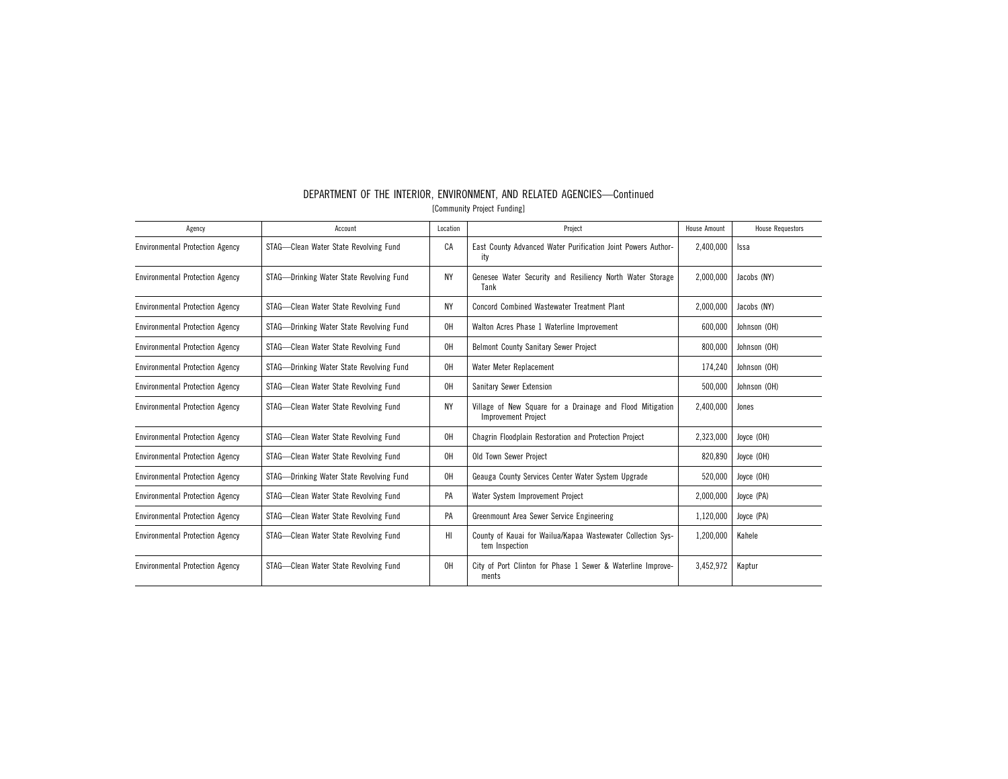| Agency                                 | Account                                  | Location  | Project                                                                          | <b>House Amount</b> | <b>House Requestors</b> |
|----------------------------------------|------------------------------------------|-----------|----------------------------------------------------------------------------------|---------------------|-------------------------|
| <b>Environmental Protection Agency</b> | STAG-Clean Water State Revolving Fund    | CA        | East County Advanced Water Purification Joint Powers Author-<br>ity              | 2,400,000           | Issa                    |
| <b>Environmental Protection Agency</b> | STAG—Drinking Water State Revolving Fund | <b>NY</b> | Genesee Water Security and Resiliency North Water Storage<br>Tank                | 2,000,000           | Jacobs (NY)             |
| <b>Environmental Protection Agency</b> | STAG-Clean Water State Revolving Fund    | NΥ        | <b>Concord Combined Wastewater Treatment Plant</b>                               | 2,000,000           | Jacobs (NY)             |
| <b>Environmental Protection Agency</b> | STAG-Drinking Water State Revolving Fund | OH        | Walton Acres Phase 1 Waterline Improvement                                       | 600.000             | Johnson (OH)            |
| <b>Environmental Protection Agency</b> | STAG-Clean Water State Revolving Fund    | 0H        | Belmont County Sanitary Sewer Project                                            | 800,000             | Johnson (OH)            |
| <b>Environmental Protection Agency</b> | STAG-Drinking Water State Revolving Fund | 0H        | Water Meter Replacement                                                          | 174,240             | Johnson (OH)            |
| <b>Environmental Protection Agency</b> | STAG-Clean Water State Revolving Fund    | 0H        | Sanitary Sewer Extension                                                         | 500,000             | Johnson (OH)            |
| <b>Environmental Protection Agency</b> | STAG-Clean Water State Revolving Fund    | <b>NY</b> | Village of New Square for a Drainage and Flood Mitigation<br>Improvement Project | 2.400.000           | Jones                   |
| <b>Environmental Protection Agency</b> | STAG-Clean Water State Revolving Fund    | 0H        | Chagrin Floodplain Restoration and Protection Project                            | 2,323,000           | Joyce (OH)              |
| <b>Environmental Protection Agency</b> | STAG-Clean Water State Revolving Fund    | 0H        | Old Town Sewer Project                                                           | 820,890             | Joyce (OH)              |
| <b>Environmental Protection Agency</b> | STAG-Drinking Water State Revolving Fund | 0H        | Geauga County Services Center Water System Upgrade                               | 520,000             | Joyce (OH)              |
| <b>Environmental Protection Agency</b> | STAG-Clean Water State Revolving Fund    | PA        | Water System Improvement Project                                                 | 2,000,000           | Joyce (PA)              |
| <b>Environmental Protection Agency</b> | STAG-Clean Water State Revolving Fund    | PA        | Greenmount Area Sewer Service Engineering                                        | 1,120,000           | Joyce (PA)              |
| <b>Environmental Protection Agency</b> | STAG-Clean Water State Revolving Fund    | HI        | County of Kauai for Wailua/Kapaa Wastewater Collection Sys-<br>tem Inspection    | 1.200.000           | Kahele                  |
| <b>Environmental Protection Agency</b> | STAG-Clean Water State Revolving Fund    | 0H        | City of Port Clinton for Phase 1 Sewer & Waterline Improve-<br>ments             | 3,452,972           | Kaptur                  |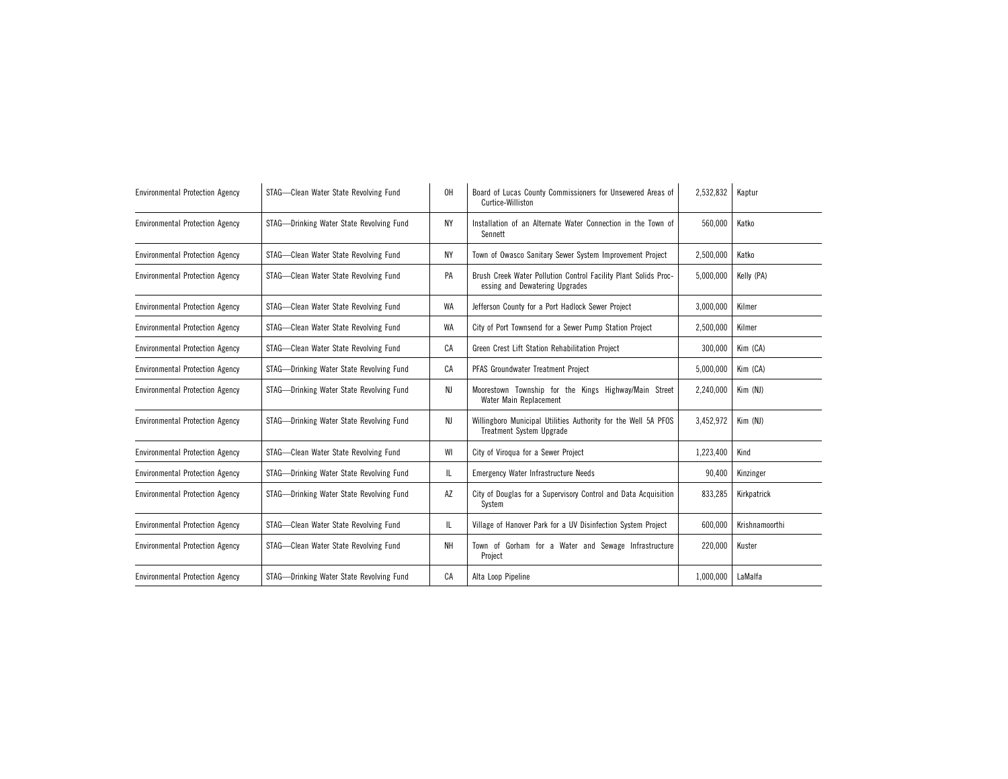| <b>Environmental Protection Agency</b> | STAG-Clean Water State Revolving Fund    | 0H        | Board of Lucas County Commissioners for Unsewered Areas of<br>Curtice-Williston                   | 2,532,832 | Kaptur         |
|----------------------------------------|------------------------------------------|-----------|---------------------------------------------------------------------------------------------------|-----------|----------------|
| <b>Environmental Protection Agency</b> | STAG-Drinking Water State Revolving Fund | NY        | Installation of an Alternate Water Connection in the Town of<br>Sennett                           | 560,000   | Katko          |
| <b>Environmental Protection Agency</b> | STAG-Clean Water State Revolving Fund    | NY        | Town of Owasco Sanitary Sewer System Improvement Project                                          | 2,500,000 | Katko          |
| <b>Environmental Protection Agency</b> | STAG-Clean Water State Revolving Fund    | PA        | Brush Creek Water Pollution Control Facility Plant Solids Proc-<br>essing and Dewatering Upgrades | 5,000,000 | Kelly (PA)     |
| <b>Environmental Protection Agency</b> | STAG-Clean Water State Revolving Fund    | WA        | Jefferson County for a Port Hadlock Sewer Project                                                 | 3,000,000 | Kilmer         |
| <b>Environmental Protection Agency</b> | STAG-Clean Water State Revolving Fund    | <b>WA</b> | City of Port Townsend for a Sewer Pump Station Project                                            | 2,500,000 | Kilmer         |
| <b>Environmental Protection Agency</b> | STAG-Clean Water State Revolving Fund    | CA        | Green Crest Lift Station Rehabilitation Project                                                   | 300,000   | Kim (CA)       |
| <b>Environmental Protection Agency</b> | STAG-Drinking Water State Revolving Fund | СA        | PFAS Groundwater Treatment Project                                                                | 5,000,000 | Kim (CA)       |
| <b>Environmental Protection Agency</b> | STAG-Drinking Water State Revolving Fund | NJ        | Moorestown Township for the Kings Highway/Main Street<br>Water Main Replacement                   | 2,240,000 | Kim (NJ)       |
| <b>Environmental Protection Agency</b> | STAG-Drinking Water State Revolving Fund | NJ        | Willingboro Municipal Utilities Authority for the Well 5A PFOS<br><b>Treatment System Upgrade</b> | 3,452,972 | Kim (NJ)       |
| <b>Environmental Protection Agency</b> | STAG-Clean Water State Revolving Fund    | WI        | City of Viroqua for a Sewer Project                                                               | 1,223,400 | Kind           |
| <b>Environmental Protection Agency</b> | STAG-Drinking Water State Revolving Fund | IL.       | <b>Emergency Water Infrastructure Needs</b>                                                       | 90,400    | Kinzinger      |
| <b>Environmental Protection Agency</b> | STAG-Drinking Water State Revolving Fund | AZ        | City of Douglas for a Supervisory Control and Data Acquisition<br>System                          | 833,285   | Kirkpatrick    |
| <b>Environmental Protection Agency</b> | STAG-Clean Water State Revolving Fund    | IL.       | Village of Hanover Park for a UV Disinfection System Project                                      | 600,000   | Krishnamoorthi |
| <b>Environmental Protection Agency</b> | STAG-Clean Water State Revolving Fund    | NΗ        | Town of Gorham for a Water and Sewage Infrastructure<br>Project                                   | 220,000   | Kuster         |
| <b>Environmental Protection Agency</b> | STAG-Drinking Water State Revolving Fund | CA        | Alta Loop Pipeline                                                                                | 1,000,000 | LaMalfa        |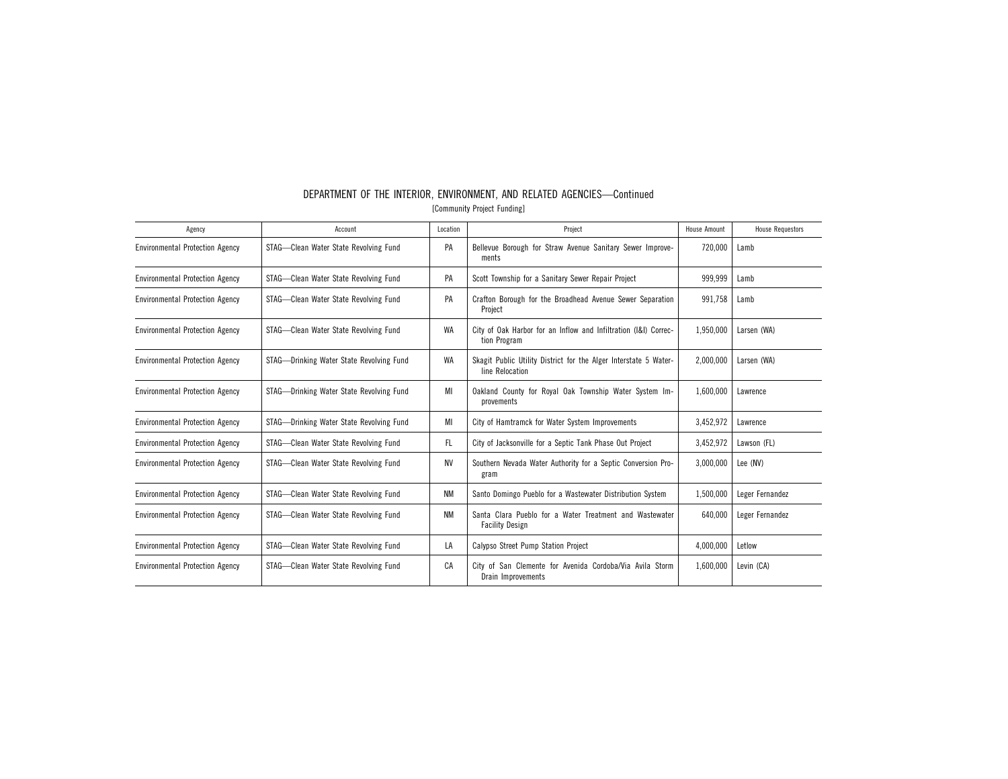| Agency                                 | Account                                  | Location  | Project                                                                             | <b>House Amount</b> | <b>House Requestors</b> |
|----------------------------------------|------------------------------------------|-----------|-------------------------------------------------------------------------------------|---------------------|-------------------------|
| <b>Environmental Protection Agency</b> | STAG-Clean Water State Revolving Fund    | PA        | Bellevue Borough for Straw Avenue Sanitary Sewer Improve-<br>ments                  | 720,000             | Lamb                    |
| <b>Environmental Protection Agency</b> | STAG-Clean Water State Revolving Fund    | PA        | Scott Township for a Sanitary Sewer Repair Project                                  | 999.999             | Lamb                    |
| <b>Environmental Protection Agency</b> | STAG-Clean Water State Revolving Fund    | PA        | Crafton Borough for the Broadhead Avenue Sewer Separation<br>Project                | 991,758             | Lamb                    |
| <b>Environmental Protection Agency</b> | STAG-Clean Water State Revolving Fund    | WA        | City of Oak Harbor for an Inflow and Infiltration (I&I) Correc-<br>tion Program     | 1,950,000           | Larsen (WA)             |
| <b>Environmental Protection Agency</b> | STAG-Drinking Water State Revolving Fund | WA        | Skagit Public Utility District for the Alger Interstate 5 Water-<br>line Relocation | 2,000,000           | Larsen (WA)             |
| <b>Environmental Protection Agency</b> | STAG-Drinking Water State Revolving Fund | MI        | Oakland County for Royal Oak Township Water System Im-<br>provements                | 1,600,000           | Lawrence                |
| <b>Environmental Protection Agency</b> | STAG-Drinking Water State Revolving Fund | MI        | City of Hamtramck for Water System Improvements                                     | 3,452,972           | Lawrence                |
| <b>Environmental Protection Agency</b> | STAG-Clean Water State Revolving Fund    | FL.       | City of Jacksonville for a Septic Tank Phase Out Project                            | 3,452,972           | Lawson (FL)             |
| <b>Environmental Protection Agency</b> | STAG-Clean Water State Revolving Fund    | <b>NV</b> | Southern Nevada Water Authority for a Septic Conversion Pro-<br>gram                | 3.000.000           | Lee (NV)                |
| <b>Environmental Protection Agency</b> | STAG-Clean Water State Revolving Fund    | ΝM        | Santo Domingo Pueblo for a Wastewater Distribution System                           | 1,500,000           | Leger Fernandez         |
| <b>Environmental Protection Agency</b> | STAG-Clean Water State Revolving Fund    | <b>NM</b> | Santa Clara Pueblo for a Water Treatment and Wastewater<br><b>Facility Design</b>   | 640.000             | Leger Fernandez         |
| <b>Environmental Protection Agency</b> | STAG-Clean Water State Revolving Fund    | LA        | Calypso Street Pump Station Project                                                 | 4,000,000           | Letlow                  |
| <b>Environmental Protection Agency</b> | STAG-Clean Water State Revolving Fund    | CA        | City of San Clemente for Avenida Cordoba/Via Avila Storm<br>Drain Improvements      | 1,600,000           | Levin (CA)              |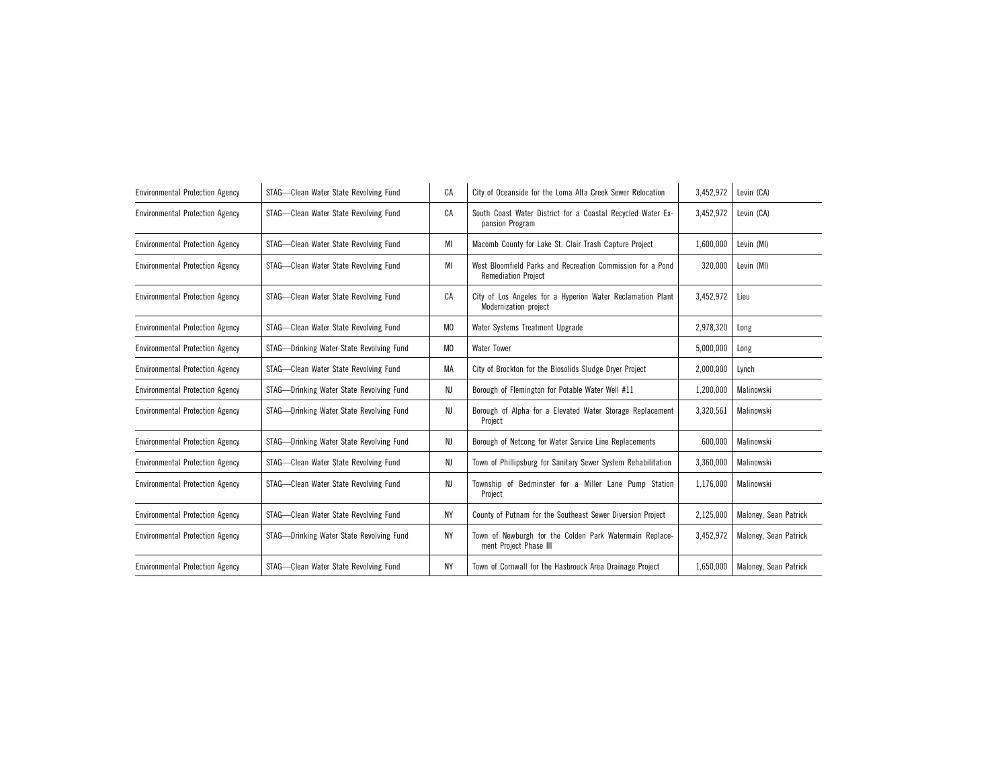| <b>Environmental Protection Agency</b> | STAG-Clean Water State Revolving Fund    | CA             | City of Oceanside for the Loma Alta Creek Sewer Relocation                               | 3,452,972 | Levin (CA)            |
|----------------------------------------|------------------------------------------|----------------|------------------------------------------------------------------------------------------|-----------|-----------------------|
| <b>Environmental Protection Agency</b> | STAG-Clean Water State Revolving Fund    | CA             | South Coast Water District for a Coastal Recycled Water Ex-<br>pansion Program           | 3,452,972 | Levin (CA)            |
| <b>Environmental Protection Agency</b> | STAG-Clean Water State Revolving Fund    | MI             | Macomb County for Lake St. Clair Trash Capture Project                                   | 1,600,000 | Levin (MI)            |
| <b>Environmental Protection Agency</b> | STAG-Clean Water State Revolving Fund    | MI             | West Bloomfield Parks and Recreation Commission for a Pond<br><b>Remediation Project</b> | 320,000   | Levin (MI)            |
| <b>Environmental Protection Agency</b> | STAG-Clean Water State Revolving Fund    | CA             | City of Los Angeles for a Hyperion Water Reclamation Plant<br>Modernization project      | 3,452,972 | Lieu                  |
| <b>Environmental Protection Agency</b> | STAG-Clean Water State Revolving Fund    | M <sub>0</sub> | Water Systems Treatment Upgrade                                                          | 2,978,320 | Long                  |
| <b>Environmental Protection Agency</b> | STAG-Drinking Water State Revolving Fund | M <sub>0</sub> | <b>Water Tower</b>                                                                       | 5,000,000 | Long                  |
| <b>Environmental Protection Agency</b> | STAG-Clean Water State Revolving Fund    | MA             | City of Brockton for the Biosolids Sludge Dryer Project                                  | 2,000,000 | Lynch                 |
| <b>Environmental Protection Agency</b> | STAG-Drinking Water State Revolving Fund | NJ             | Borough of Flemington for Potable Water Well #11                                         | 1,200,000 | Malinowski            |
| <b>Environmental Protection Agency</b> | STAG-Drinking Water State Revolving Fund | NJ             | Borough of Alpha for a Elevated Water Storage Replacement<br>Project                     | 3,320,561 | Malinowski            |
| <b>Environmental Protection Agency</b> | STAG-Drinking Water State Revolving Fund | NJ             | Borough of Netcong for Water Service Line Replacements                                   | 600,000   | Malinowski            |
| <b>Environmental Protection Agency</b> | STAG-Clean Water State Revolving Fund    | NJ             | Town of Phillipsburg for Sanitary Sewer System Rehabilitation                            | 3,360,000 | Malinowski            |
| <b>Environmental Protection Agency</b> | STAG-Clean Water State Revolving Fund    | NJ             | Township of Bedminster for a Miller Lane Pump Station<br>Project                         | 1,176,000 | Malinowski            |
| <b>Environmental Protection Agency</b> | STAG-Clean Water State Revolving Fund    | <b>NY</b>      | County of Putnam for the Southeast Sewer Diversion Project                               | 2,125,000 | Maloney, Sean Patrick |
| <b>Environmental Protection Agency</b> | STAG-Drinking Water State Revolving Fund | <b>NY</b>      | Town of Newburgh for the Colden Park Watermain Replace-<br>ment Project Phase III        | 3,452,972 | Maloney, Sean Patrick |
| <b>Environmental Protection Agency</b> | STAG-Clean Water State Revolving Fund    | <b>NY</b>      | Town of Cornwall for the Hasbrouck Area Drainage Project                                 | 1,650,000 | Maloney, Sean Patrick |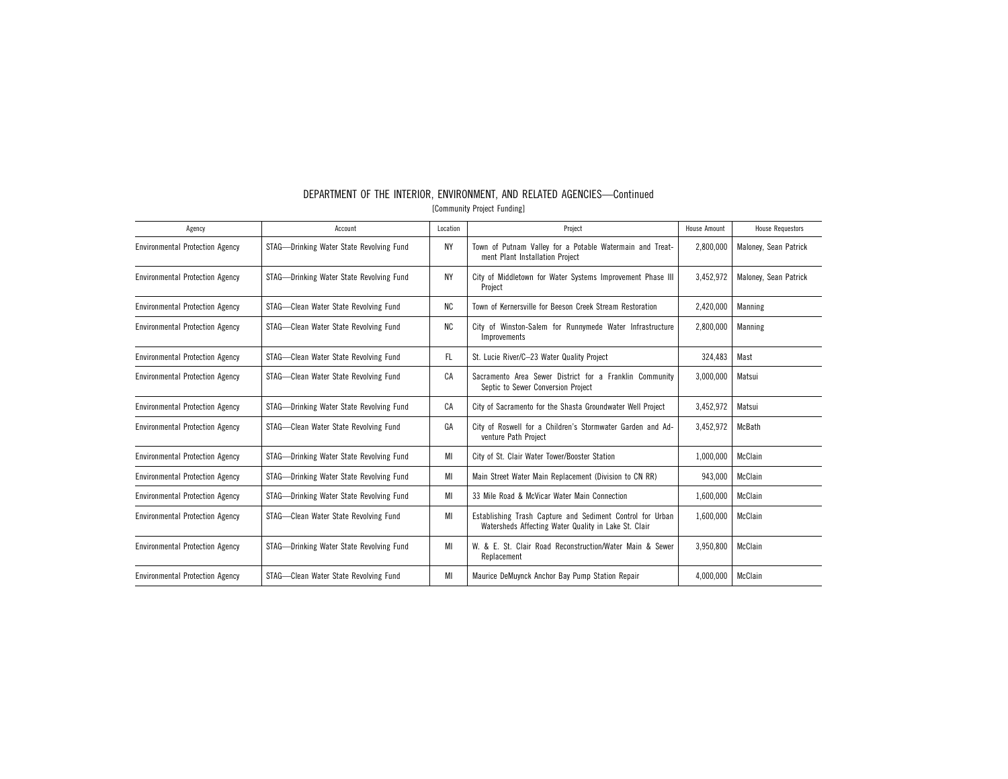| Agency                                 | Account                                  | Location  | Project                                                                                                           | <b>House Amount</b> | <b>House Requestors</b> |
|----------------------------------------|------------------------------------------|-----------|-------------------------------------------------------------------------------------------------------------------|---------------------|-------------------------|
| <b>Environmental Protection Agency</b> | STAG—Drinking Water State Revolving Fund | <b>NY</b> | Town of Putnam Valley for a Potable Watermain and Treat-<br>ment Plant Installation Project                       | 2,800,000           | Maloney, Sean Patrick   |
| <b>Environmental Protection Agency</b> | STAG—Drinking Water State Revolving Fund | <b>NY</b> | City of Middletown for Water Systems Improvement Phase III<br>Project                                             | 3.452.972           | Maloney, Sean Patrick   |
| <b>Environmental Protection Agency</b> | STAG-Clean Water State Revolving Fund    | <b>NC</b> | Town of Kernersville for Beeson Creek Stream Restoration                                                          | 2.420.000           | Manning                 |
| <b>Environmental Protection Agency</b> | STAG-Clean Water State Revolving Fund    | NC.       | City of Winston-Salem for Runnymede Water Infrastructure<br>Improvements                                          | 2.800.000           | Manning                 |
| <b>Environmental Protection Agency</b> | STAG-Clean Water State Revolving Fund    | FL.       | St. Lucie River/C-23 Water Quality Project                                                                        | 324.483             | Mast                    |
| <b>Environmental Protection Agency</b> | STAG-Clean Water State Revolving Fund    | CA        | Sacramento Area Sewer District for a Franklin Community<br>Septic to Sewer Conversion Project                     | 3.000.000           | Matsui                  |
| <b>Environmental Protection Agency</b> | STAG—Drinking Water State Revolving Fund | CA        | City of Sacramento for the Shasta Groundwater Well Project                                                        | 3,452,972           | Matsui                  |
| <b>Environmental Protection Agency</b> | STAG-Clean Water State Revolving Fund    | GA        | City of Roswell for a Children's Stormwater Garden and Ad-<br>venture Path Project                                | 3,452,972           | McBath                  |
| <b>Environmental Protection Agency</b> | STAG-Drinking Water State Revolving Fund | MI        | City of St. Clair Water Tower/Booster Station                                                                     | 1,000,000           | McClain                 |
| <b>Environmental Protection Agency</b> | STAG—Drinking Water State Revolving Fund | MI        | Main Street Water Main Replacement (Division to CN RR)                                                            | 943,000             | McClain                 |
| <b>Environmental Protection Agency</b> | STAG—Drinking Water State Revolving Fund | MI        | 33 Mile Road & McVicar Water Main Connection                                                                      | 1,600,000           | McClain                 |
| <b>Environmental Protection Agency</b> | STAG-Clean Water State Revolving Fund    | MI        | Establishing Trash Capture and Sediment Control for Urban<br>Watersheds Affecting Water Quality in Lake St. Clair | 1,600,000           | McClain                 |
| <b>Environmental Protection Agency</b> | STAG-Drinking Water State Revolving Fund | MI        | W. & E. St. Clair Road Reconstruction/Water Main & Sewer<br>Replacement                                           | 3.950.800           | McClain                 |
| <b>Environmental Protection Agency</b> | STAG-Clean Water State Revolving Fund    | MI        | Maurice DeMuynck Anchor Bay Pump Station Repair                                                                   | 4,000,000           | McClain                 |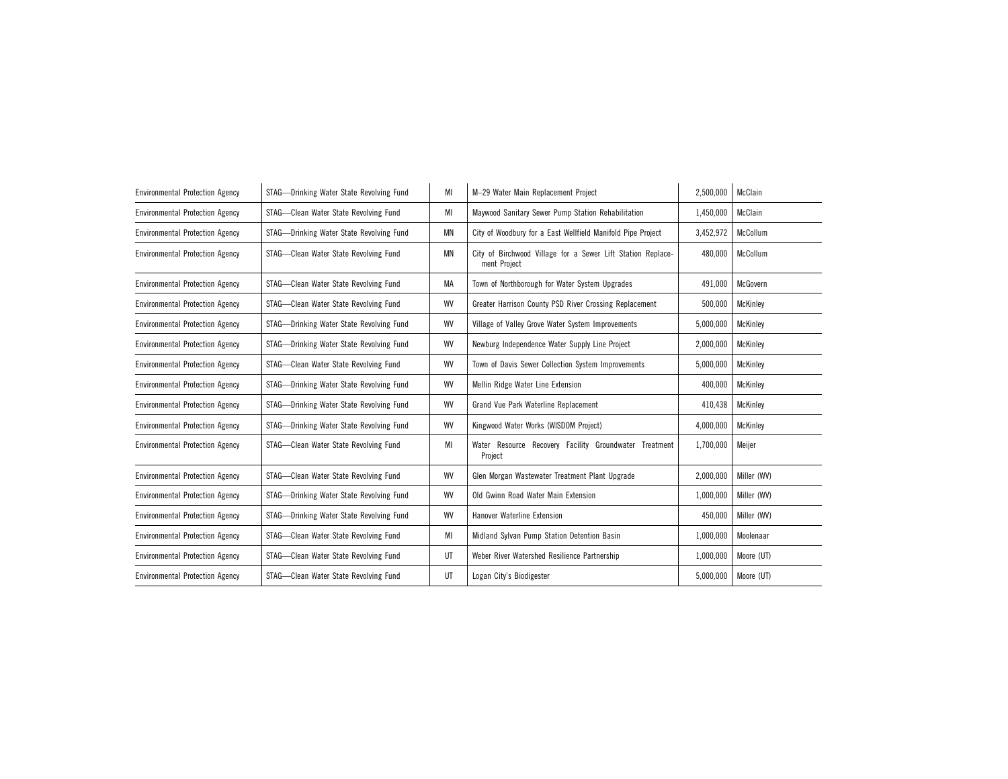| STAG-Drinking Water State Revolving Fund | MI        | M-29 Water Main Replacement Project                                         | 2,500,000 | McClain     |
|------------------------------------------|-----------|-----------------------------------------------------------------------------|-----------|-------------|
| STAG-Clean Water State Revolving Fund    | МI        | Maywood Sanitary Sewer Pump Station Rehabilitation                          | 1,450,000 | McClain     |
| STAG-Drinking Water State Revolving Fund | <b>MN</b> | City of Woodbury for a East Wellfield Manifold Pipe Project                 | 3,452,972 | McCollum    |
| STAG-Clean Water State Revolving Fund    | <b>MN</b> | City of Birchwood Village for a Sewer Lift Station Replace-<br>ment Project | 480.000   | McCollum    |
| STAG-Clean Water State Revolving Fund    | МA        | Town of Northborough for Water System Upgrades                              | 491,000   | McGovern    |
| STAG-Clean Water State Revolving Fund    | WV        | Greater Harrison County PSD River Crossing Replacement                      | 500,000   | McKinley    |
| STAG-Drinking Water State Revolving Fund | WV        | Village of Valley Grove Water System Improvements                           | 5,000,000 | McKinley    |
| STAG-Drinking Water State Revolving Fund | WV        | Newburg Independence Water Supply Line Project                              | 2,000,000 | McKinley    |
| STAG-Clean Water State Revolving Fund    | WV        | Town of Davis Sewer Collection System Improvements                          | 5,000,000 | McKinley    |
| STAG-Drinking Water State Revolving Fund | WV        | Mellin Ridge Water Line Extension                                           | 400,000   | McKinley    |
| STAG-Drinking Water State Revolving Fund | WV        | Grand Vue Park Waterline Replacement                                        | 410,438   | McKinley    |
| STAG-Drinking Water State Revolving Fund | WV        | Kingwood Water Works (WISDOM Project)                                       | 4,000,000 | McKinley    |
| STAG-Clean Water State Revolving Fund    | MI        | Water Resource Recovery Facility Groundwater Treatment<br>Proiect           | 1,700,000 | Meijer      |
| STAG-Clean Water State Revolving Fund    | WV        | Glen Morgan Wastewater Treatment Plant Upgrade                              | 2,000,000 | Miller (WV) |
| STAG—Drinking Water State Revolving Fund | WV        | Old Gwinn Road Water Main Extension                                         | 1,000,000 | Miller (WV) |
| STAG-Drinking Water State Revolving Fund | WV        | Hanover Waterline Extension                                                 | 450,000   | Miller (WV) |
| STAG-Clean Water State Revolving Fund    | MI        | Midland Sylvan Pump Station Detention Basin                                 | 1,000,000 | Moolenaar   |
| STAG-Clean Water State Revolving Fund    | UT        | Weber River Watershed Resilience Partnership                                | 1,000,000 | Moore (UT)  |
| STAG-Clean Water State Revolving Fund    | UT        | Logan City's Biodigester                                                    | 5,000,000 | Moore (UT)  |
|                                          |           |                                                                             |           |             |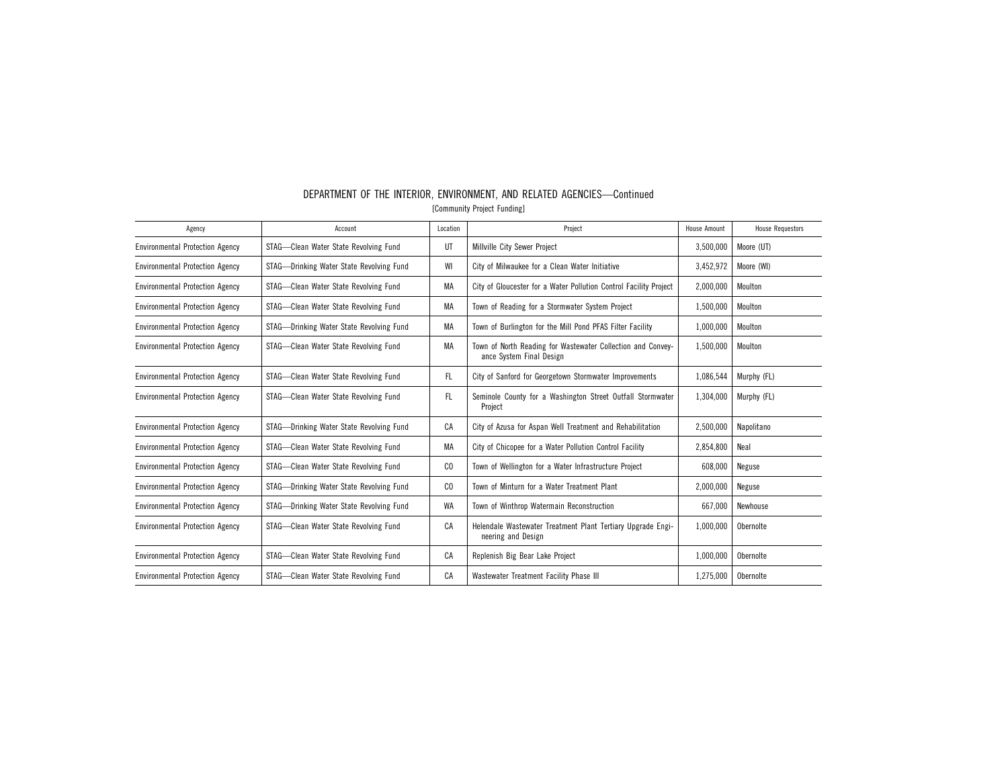| Agency                                 | Account                                  | Location | Project                                                                                 | House Amount | <b>House Requestors</b> |
|----------------------------------------|------------------------------------------|----------|-----------------------------------------------------------------------------------------|--------------|-------------------------|
| <b>Environmental Protection Agency</b> | STAG-Clean Water State Revolving Fund    | UT       | Millville City Sewer Project                                                            | 3,500,000    | Moore (UT)              |
| <b>Environmental Protection Agency</b> | STAG-Drinking Water State Revolving Fund | WI       | City of Milwaukee for a Clean Water Initiative                                          | 3,452,972    | Moore (WI)              |
| <b>Environmental Protection Agency</b> | STAG-Clean Water State Revolving Fund    | MA       | City of Gloucester for a Water Pollution Control Facility Project                       | 2,000,000    | Moulton                 |
| <b>Environmental Protection Agency</b> | STAG-Clean Water State Revolving Fund    | MA       | Town of Reading for a Stormwater System Project                                         | 1,500,000    | Moulton                 |
| <b>Environmental Protection Agency</b> | STAG-Drinking Water State Revolving Fund | МA       | Town of Burlington for the Mill Pond PFAS Filter Facility                               | 1,000,000    | Moulton                 |
| <b>Environmental Protection Agency</b> | STAG-Clean Water State Revolving Fund    | МA       | Town of North Reading for Wastewater Collection and Convey-<br>ance System Final Design | 1.500.000    | Moulton                 |
| <b>Environmental Protection Agency</b> | STAG-Clean Water State Revolving Fund    | FL       | City of Sanford for Georgetown Stormwater Improvements                                  | 1,086,544    | Murphy (FL)             |
| <b>Environmental Protection Agency</b> | STAG-Clean Water State Revolving Fund    | FL       | Seminole County for a Washington Street Outfall Stormwater<br>Project                   | 1,304,000    | Murphy (FL)             |
| <b>Environmental Protection Agency</b> | STAG-Drinking Water State Revolving Fund | CA       | City of Azusa for Aspan Well Treatment and Rehabilitation                               | 2,500,000    | Napolitano              |
| <b>Environmental Protection Agency</b> | STAG-Clean Water State Revolving Fund    | MA       | City of Chicopee for a Water Pollution Control Facility                                 | 2,854,800    | Neal                    |
| <b>Environmental Protection Agency</b> | STAG-Clean Water State Revolving Fund    | CO.      | Town of Wellington for a Water Infrastructure Project                                   | 608,000      | Neguse                  |
| <b>Environmental Protection Agency</b> | STAG-Drinking Water State Revolving Fund | CO.      | Town of Minturn for a Water Treatment Plant                                             | 2,000,000    | Neguse                  |
| <b>Environmental Protection Agency</b> | STAG-Drinking Water State Revolving Fund | WA       | Town of Winthrop Watermain Reconstruction                                               | 667.000      | Newhouse                |
| <b>Environmental Protection Agency</b> | STAG-Clean Water State Revolving Fund    | CA       | Helendale Wastewater Treatment Plant Tertiary Upgrade Engi-<br>neering and Design       | 1.000.000    | Obernolte               |
| <b>Environmental Protection Agency</b> | STAG-Clean Water State Revolving Fund    | CA       | Replenish Big Bear Lake Project                                                         | 1,000,000    | Obernolte               |
| <b>Environmental Protection Agency</b> | STAG-Clean Water State Revolving Fund    | CA       | Wastewater Treatment Facility Phase III                                                 | 1,275,000    | Obernolte               |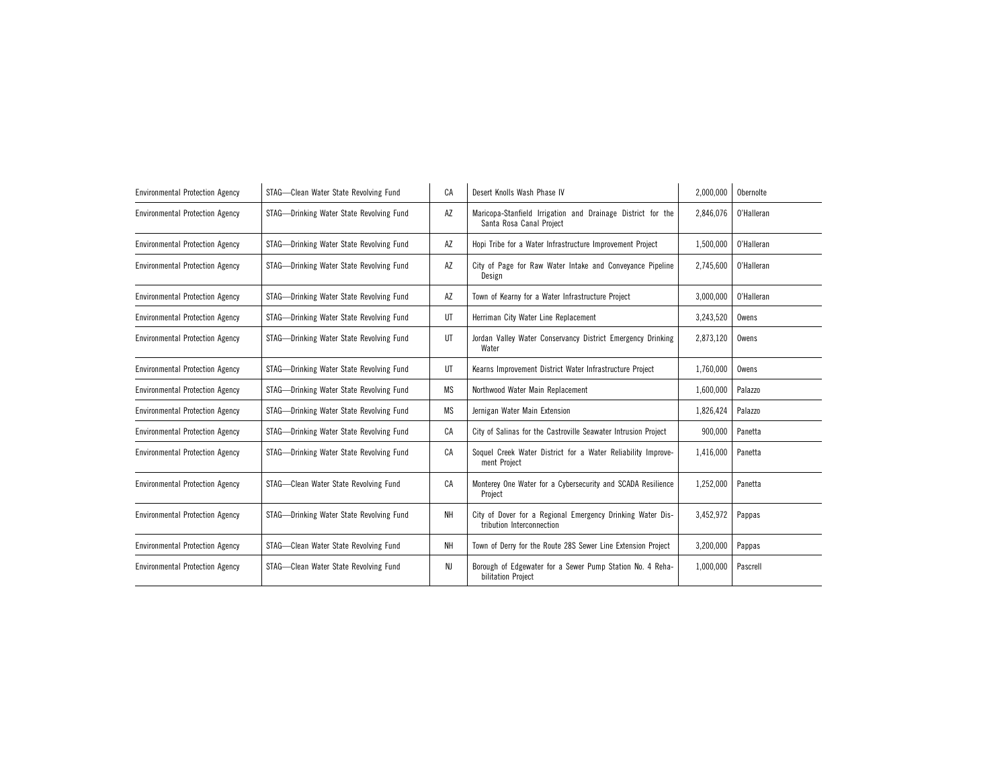| <b>Environmental Protection Agency</b> | STAG-Clean Water State Revolving Fund    | CA        | Desert Knolls Wash Phase IV                                                             | 2,000,000 | Obernolte  |
|----------------------------------------|------------------------------------------|-----------|-----------------------------------------------------------------------------------------|-----------|------------|
| <b>Environmental Protection Agency</b> | STAG-Drinking Water State Revolving Fund | AZ        | Maricopa-Stanfield Irrigation and Drainage District for the<br>Santa Rosa Canal Project | 2,846,076 | O'Halleran |
| <b>Environmental Protection Agency</b> | STAG-Drinking Water State Revolving Fund | AZ        | Hopi Tribe for a Water Infrastructure Improvement Project                               | 1,500,000 | O'Halleran |
| <b>Environmental Protection Agency</b> | STAG-Drinking Water State Revolving Fund | AZ        | City of Page for Raw Water Intake and Conveyance Pipeline<br>Design                     | 2.745.600 | O'Halleran |
| <b>Environmental Protection Agency</b> | STAG-Drinking Water State Revolving Fund | AZ        | Town of Kearny for a Water Infrastructure Project                                       | 3,000,000 | O'Halleran |
| <b>Environmental Protection Agency</b> | STAG-Drinking Water State Revolving Fund | UT        | Herriman City Water Line Replacement                                                    | 3,243,520 | Owens      |
| <b>Environmental Protection Agency</b> | STAG-Drinking Water State Revolving Fund | UT        | Jordan Valley Water Conservancy District Emergency Drinking<br>Water                    | 2,873,120 | Owens      |
| <b>Environmental Protection Agency</b> | STAG-Drinking Water State Revolving Fund | UT        | Kearns Improvement District Water Infrastructure Project                                | 1,760,000 | Owens      |
| <b>Environmental Protection Agency</b> | STAG-Drinking Water State Revolving Fund | <b>MS</b> | Northwood Water Main Replacement                                                        | 1,600,000 | Palazzo    |
| <b>Environmental Protection Agency</b> | STAG-Drinking Water State Revolving Fund | <b>MS</b> | Jernigan Water Main Extension                                                           | 1,826,424 | Palazzo    |
| <b>Environmental Protection Agency</b> | STAG-Drinking Water State Revolving Fund | CA        | City of Salinas for the Castroville Seawater Intrusion Project                          | 900,000   | Panetta    |
| <b>Environmental Protection Agency</b> | STAG-Drinking Water State Revolving Fund | CA        | Soquel Creek Water District for a Water Reliability Improve-<br>ment Project            | 1,416,000 | Panetta    |
| <b>Environmental Protection Agency</b> | STAG-Clean Water State Revolving Fund    | CA        | Monterey One Water for a Cybersecurity and SCADA Resilience<br>Project                  | 1,252,000 | Panetta    |
| <b>Environmental Protection Agency</b> | STAG-Drinking Water State Revolving Fund | NH        | City of Dover for a Regional Emergency Drinking Water Dis-<br>tribution Interconnection | 3,452,972 | Pappas     |
| <b>Environmental Protection Agency</b> | STAG-Clean Water State Revolving Fund    | NH        | Town of Derry for the Route 28S Sewer Line Extension Project                            | 3,200,000 | Pappas     |
| <b>Environmental Protection Agency</b> | STAG-Clean Water State Revolving Fund    | NJ        | Borough of Edgewater for a Sewer Pump Station No. 4 Reha-<br>bilitation Project         | 1,000,000 | Pascrell   |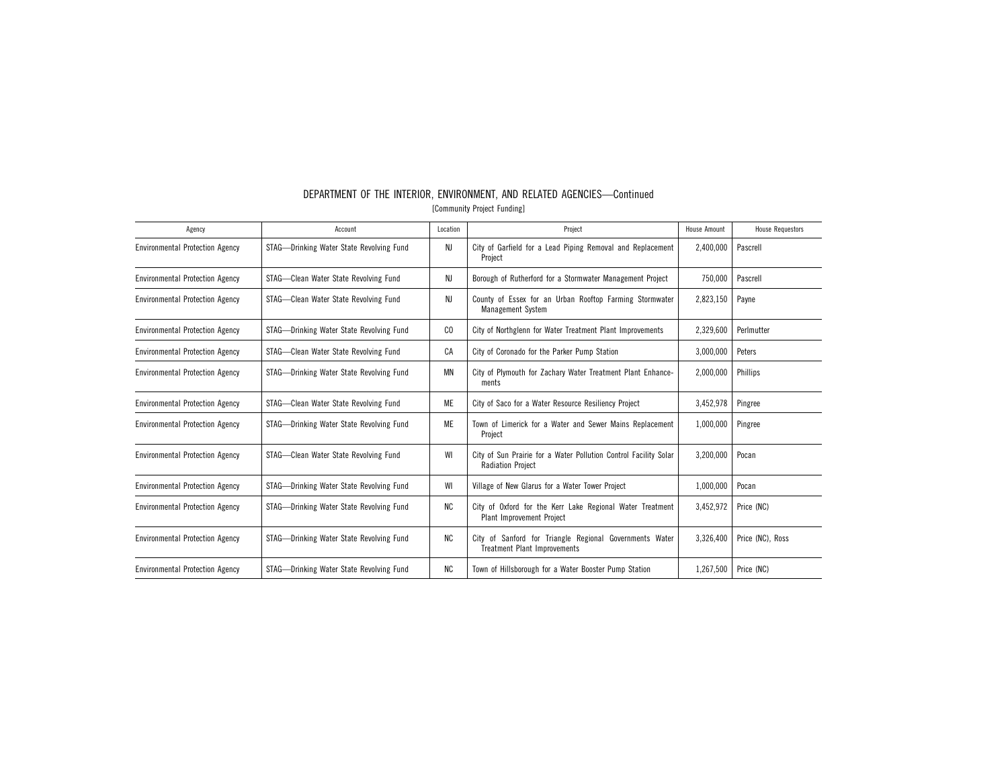| Agency                                 | Account                                  | Location  | Project                                                                                        | <b>House Amount</b> | <b>House Requestors</b> |
|----------------------------------------|------------------------------------------|-----------|------------------------------------------------------------------------------------------------|---------------------|-------------------------|
| <b>Environmental Protection Agency</b> | STAG-Drinking Water State Revolving Fund | NJ        | City of Garfield for a Lead Piping Removal and Replacement<br>Project                          | 2,400,000           | Pascrell                |
| <b>Environmental Protection Agency</b> | STAG-Clean Water State Revolving Fund    | NJ        | Borough of Rutherford for a Stormwater Management Project                                      | 750,000             | Pascrell                |
| <b>Environmental Protection Agency</b> | STAG-Clean Water State Revolving Fund    | NJ        | County of Essex for an Urban Rooftop Farming Stormwater<br><b>Management System</b>            | 2,823,150           | Payne                   |
| <b>Environmental Protection Agency</b> | STAG-Drinking Water State Revolving Fund | CO        | City of Northglenn for Water Treatment Plant Improvements                                      | 2,329,600           | Perlmutter              |
| <b>Environmental Protection Agency</b> | STAG-Clean Water State Revolving Fund    | CA        | City of Coronado for the Parker Pump Station                                                   | 3,000,000           | Peters                  |
| <b>Environmental Protection Agency</b> | STAG-Drinking Water State Revolving Fund | MN        | City of Plymouth for Zachary Water Treatment Plant Enhance-<br>ments                           | 2,000,000           | Phillips                |
| <b>Environmental Protection Agency</b> | STAG-Clean Water State Revolving Fund    | ME        | City of Saco for a Water Resource Resiliency Project                                           | 3,452,978           | Pingree                 |
| <b>Environmental Protection Agency</b> | STAG-Drinking Water State Revolving Fund | ME        | Town of Limerick for a Water and Sewer Mains Replacement<br>Project                            | 1,000,000           | Pingree                 |
| <b>Environmental Protection Agency</b> | STAG-Clean Water State Revolving Fund    | WI        | City of Sun Prairie for a Water Pollution Control Facility Solar<br><b>Radiation Project</b>   | 3,200,000           | Pocan                   |
| <b>Environmental Protection Agency</b> | STAG-Drinking Water State Revolving Fund | WI        | Village of New Glarus for a Water Tower Project                                                | 1,000,000           | Pocan                   |
| <b>Environmental Protection Agency</b> | STAG-Drinking Water State Revolving Fund | <b>NC</b> | City of Oxford for the Kerr Lake Regional Water Treatment<br><b>Plant Improvement Project</b>  | 3,452,972           | Price (NC)              |
| <b>Environmental Protection Agency</b> | STAG-Drinking Water State Revolving Fund | ΝC        | City of Sanford for Triangle Regional Governments Water<br><b>Treatment Plant Improvements</b> | 3.326.400           | Price (NC), Ross        |
| <b>Environmental Protection Agency</b> | STAG-Drinking Water State Revolving Fund | <b>NC</b> | Town of Hillsborough for a Water Booster Pump Station                                          | 1,267,500           | Price (NC)              |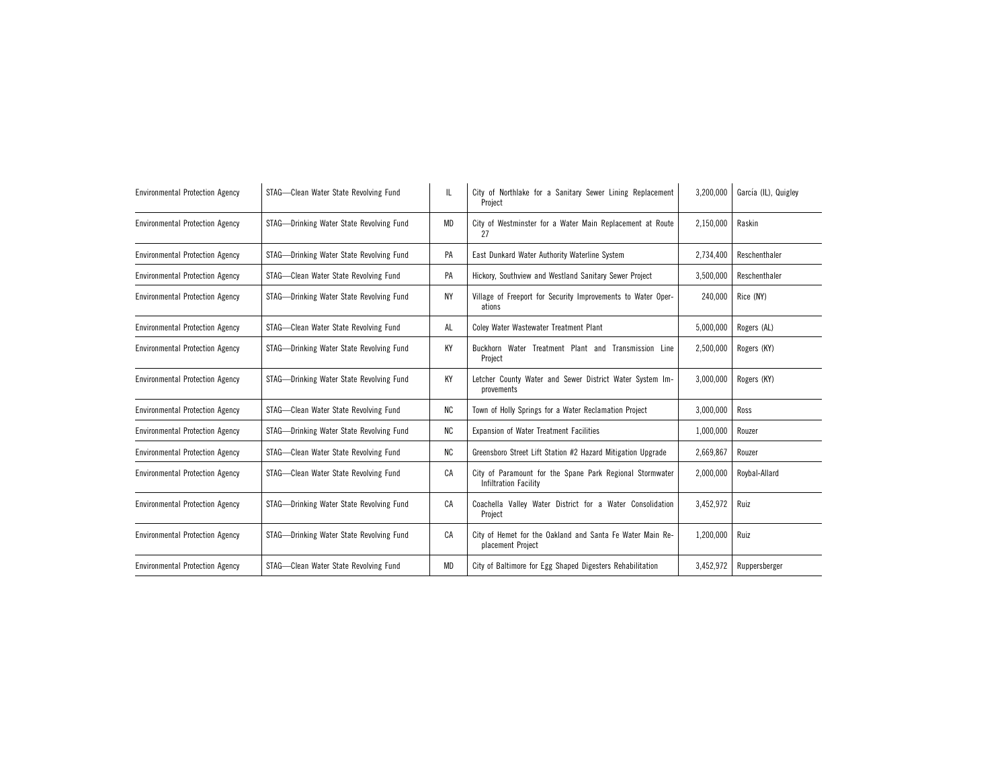| <b>Environmental Protection Agency</b> | STAG-Clean Water State Revolving Fund    | IL.       | City of Northlake for a Sanitary Sewer Lining Replacement<br>Project                     | 3,200,000 | García (IL), Quigley |
|----------------------------------------|------------------------------------------|-----------|------------------------------------------------------------------------------------------|-----------|----------------------|
| <b>Environmental Protection Agency</b> | STAG-Drinking Water State Revolving Fund | <b>MD</b> | City of Westminster for a Water Main Replacement at Route<br>27                          | 2,150,000 | Raskin               |
| <b>Environmental Protection Agency</b> | STAG-Drinking Water State Revolving Fund | PA        | East Dunkard Water Authority Waterline System                                            | 2,734,400 | Reschenthaler        |
| <b>Environmental Protection Agency</b> | STAG-Clean Water State Revolving Fund    | PA        | Hickory, Southview and Westland Sanitary Sewer Project                                   | 3,500,000 | Reschenthaler        |
| <b>Environmental Protection Agency</b> | STAG-Drinking Water State Revolving Fund | NY        | Village of Freeport for Security Improvements to Water Oper-<br>ations                   | 240.000   | Rice (NY)            |
| <b>Environmental Protection Agency</b> | STAG-Clean Water State Revolving Fund    | AL        | Coley Water Wastewater Treatment Plant                                                   | 5,000,000 | Rogers (AL)          |
| <b>Environmental Protection Agency</b> | STAG-Drinking Water State Revolving Fund | KY        | Buckhorn Water Treatment Plant and Transmission Line<br>Project                          | 2,500,000 | Rogers (KY)          |
| <b>Environmental Protection Agency</b> | STAG-Drinking Water State Revolving Fund | ΚY        | Letcher County Water and Sewer District Water System Im-<br>provements                   | 3,000,000 | Rogers (KY)          |
| <b>Environmental Protection Agency</b> | STAG-Clean Water State Revolving Fund    | ΝC        | Town of Holly Springs for a Water Reclamation Project                                    | 3,000,000 | Ross                 |
| <b>Environmental Protection Agency</b> | STAG-Drinking Water State Revolving Fund | NC        | <b>Expansion of Water Treatment Facilities</b>                                           | 1,000,000 | Rouzer               |
| <b>Environmental Protection Agency</b> | STAG-Clean Water State Revolving Fund    | NC        | Greensboro Street Lift Station #2 Hazard Mitigation Upgrade                              | 2,669,867 | Rouzer               |
| <b>Environmental Protection Agency</b> | STAG-Clean Water State Revolving Fund    | СA        | City of Paramount for the Spane Park Regional Stormwater<br><b>Infiltration Facility</b> | 2,000,000 | Roybal-Allard        |
| <b>Environmental Protection Agency</b> | STAG-Drinking Water State Revolving Fund | CA        | Coachella Valley Water District for a Water Consolidation<br>Project                     | 3,452,972 | Ruiz                 |
| <b>Environmental Protection Agency</b> | STAG-Drinking Water State Revolving Fund | СA        | City of Hemet for the Oakland and Santa Fe Water Main Re-<br>placement Project           | 1,200,000 | Ruiz                 |
| <b>Environmental Protection Agency</b> | STAG-Clean Water State Revolving Fund    | <b>MD</b> | City of Baltimore for Egg Shaped Digesters Rehabilitation                                | 3,452,972 | Ruppersberger        |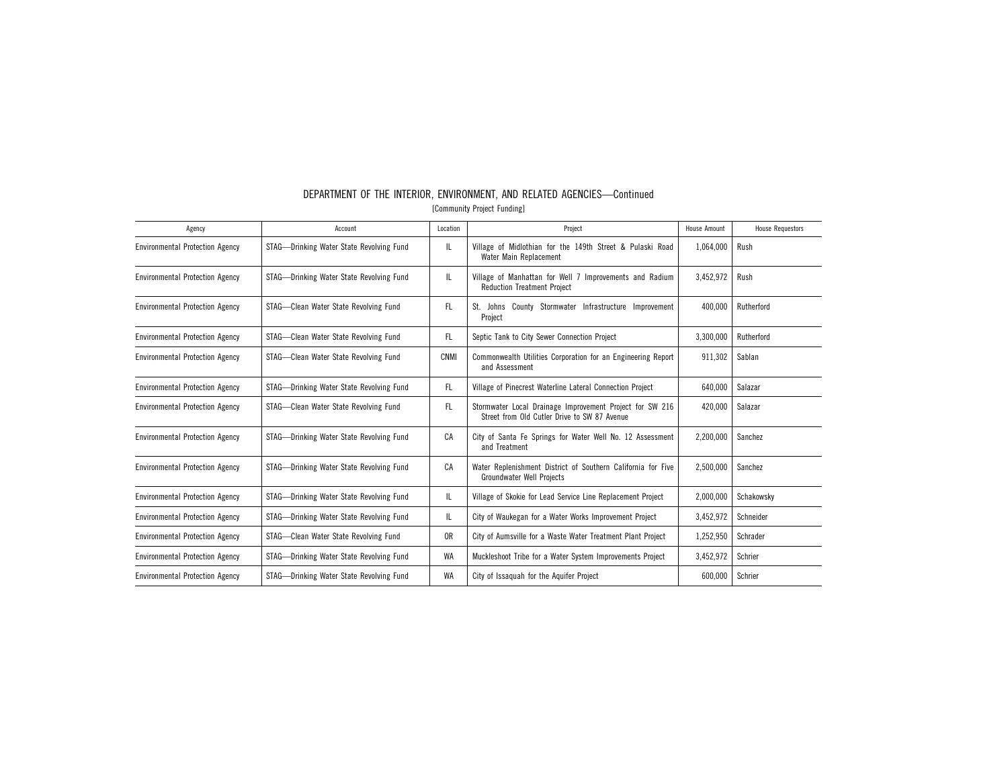| Agency                                 | Account                                  | Location       | Project                                                                                                  | House Amount | <b>House Requestors</b> |
|----------------------------------------|------------------------------------------|----------------|----------------------------------------------------------------------------------------------------------|--------------|-------------------------|
| <b>Environmental Protection Agency</b> | STAG-Drinking Water State Revolving Fund | IL             | Village of Midlothian for the 149th Street & Pulaski Road<br>Water Main Replacement                      | 1,064,000    | Rush                    |
| <b>Environmental Protection Agency</b> | STAG-Drinking Water State Revolving Fund | IL.            | Village of Manhattan for Well 7 Improvements and Radium<br><b>Reduction Treatment Project</b>            | 3.452.972    | Rush                    |
| <b>Environmental Protection Agency</b> | STAG-Clean Water State Revolving Fund    | FL             | St. Johns County Stormwater Infrastructure Improvement<br>Project                                        | 400.000      | Rutherford              |
| <b>Environmental Protection Agency</b> | STAG-Clean Water State Revolving Fund    | FL.            | Septic Tank to City Sewer Connection Project                                                             | 3,300,000    | Rutherford              |
| <b>Environmental Protection Agency</b> | STAG-Clean Water State Revolving Fund    | CNMI           | Commonwealth Utilities Corporation for an Engineering Report<br>and Assessment                           | 911.302      | Sablan                  |
| <b>Environmental Protection Agency</b> | STAG—Drinking Water State Revolving Fund | FL.            | Village of Pinecrest Waterline Lateral Connection Project                                                | 640,000      | Salazar                 |
| <b>Environmental Protection Agency</b> | STAG-Clean Water State Revolving Fund    | FL.            | Stormwater Local Drainage Improvement Project for SW 216<br>Street from Old Cutler Drive to SW 87 Avenue | 420.000      | Salazar                 |
| <b>Environmental Protection Agency</b> | STAG-Drinking Water State Revolving Fund | CA             | City of Santa Fe Springs for Water Well No. 12 Assessment<br>and Treatment                               | 2.200.000    | Sanchez                 |
| <b>Environmental Protection Agency</b> | STAG—Drinking Water State Revolving Fund | CA             | Water Replenishment District of Southern California for Five<br><b>Groundwater Well Projects</b>         | 2,500,000    | Sanchez                 |
| <b>Environmental Protection Agency</b> | STAG-Drinking Water State Revolving Fund | IL             | Village of Skokie for Lead Service Line Replacement Project                                              | 2,000,000    | Schakowsky              |
| <b>Environmental Protection Agency</b> | STAG—Drinking Water State Revolving Fund | IL.            | City of Waukegan for a Water Works Improvement Project                                                   | 3,452,972    | Schneider               |
| <b>Environmental Protection Agency</b> | STAG-Clean Water State Revolving Fund    | 0 <sub>R</sub> | City of Aumsville for a Waste Water Treatment Plant Project                                              | 1,252,950    | Schrader                |
| <b>Environmental Protection Agency</b> | STAG-Drinking Water State Revolving Fund | WA             | Muckleshoot Tribe for a Water System Improvements Project                                                | 3,452,972    | Schrier                 |
| <b>Environmental Protection Agency</b> | STAG—Drinking Water State Revolving Fund | WA             | City of Issaquah for the Aquifer Project                                                                 | 600,000      | Schrier                 |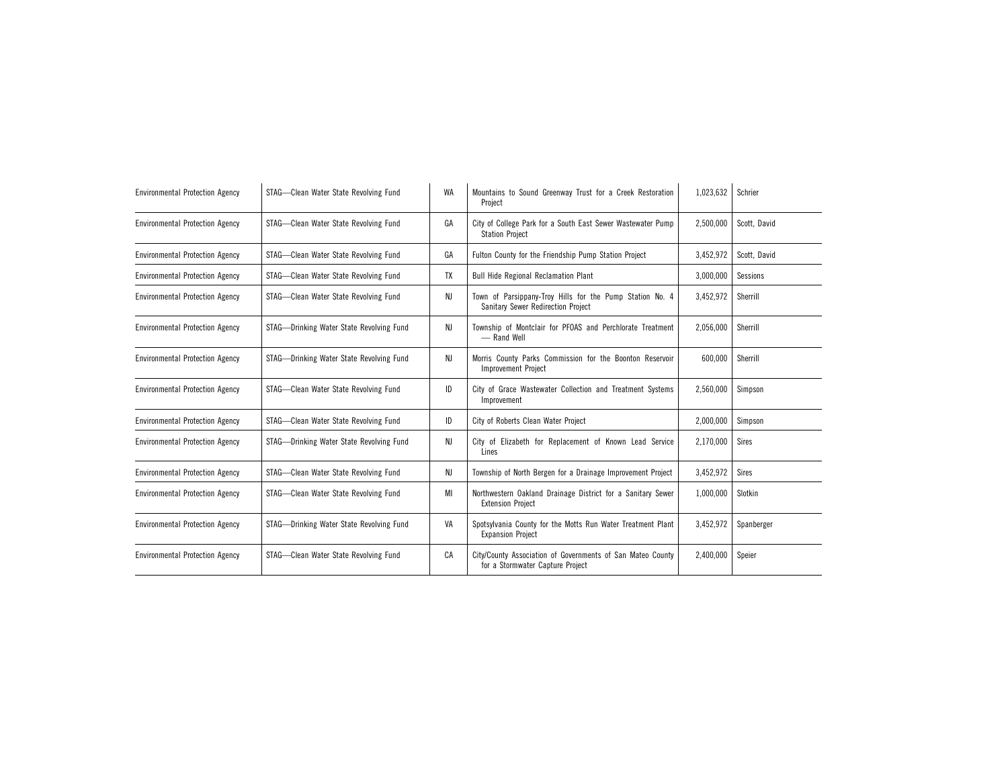| <b>Environmental Protection Agency</b> | STAG-Clean Water State Revolving Fund    | WA | 1,023,632<br>Mountains to Sound Greenway Trust for a Creek Restoration<br>Project                    |           | Schrier      |
|----------------------------------------|------------------------------------------|----|------------------------------------------------------------------------------------------------------|-----------|--------------|
| <b>Environmental Protection Agency</b> | STAG-Clean Water State Revolving Fund    | GA | City of College Park for a South East Sewer Wastewater Pump<br>2.500.000<br><b>Station Project</b>   |           | Scott. David |
| <b>Environmental Protection Agency</b> | STAG-Clean Water State Revolving Fund    | GA | Fulton County for the Friendship Pump Station Project                                                | 3,452,972 | Scott, David |
| <b>Environmental Protection Agency</b> | STAG-Clean Water State Revolving Fund    | TX | <b>Bull Hide Regional Reclamation Plant</b>                                                          | 3,000,000 | Sessions     |
| <b>Environmental Protection Agency</b> | STAG-Clean Water State Revolving Fund    | NJ | Town of Parsippany-Troy Hills for the Pump Station No. 4<br>Sanitary Sewer Redirection Project       | 3,452,972 | Sherrill     |
| <b>Environmental Protection Agency</b> | STAG-Drinking Water State Revolving Fund | NJ | Township of Montclair for PFOAS and Perchlorate Treatment<br>- Rand Well                             | 2,056,000 | Sherrill     |
| <b>Environmental Protection Agency</b> | STAG-Drinking Water State Revolving Fund | NJ | Morris County Parks Commission for the Boonton Reservoir<br><b>Improvement Project</b>               | 600.000   | Sherrill     |
| <b>Environmental Protection Agency</b> | STAG-Clean Water State Revolving Fund    | ID | City of Grace Wastewater Collection and Treatment Systems<br>Improvement                             | 2,560,000 | Simpson      |
| <b>Environmental Protection Agency</b> | STAG-Clean Water State Revolving Fund    | ID | City of Roberts Clean Water Project                                                                  | 2,000,000 | Simpson      |
| <b>Environmental Protection Agency</b> | STAG-Drinking Water State Revolving Fund | NJ | City of Elizabeth for Replacement of Known Lead Service<br>2,170,000<br>Lines                        |           | <b>Sires</b> |
| <b>Environmental Protection Agency</b> | STAG-Clean Water State Revolving Fund    | NJ | Township of North Bergen for a Drainage Improvement Project                                          | 3,452,972 | <b>Sires</b> |
| <b>Environmental Protection Agency</b> | STAG-Clean Water State Revolving Fund    | MI | Northwestern Oakland Drainage District for a Sanitary Sewer<br>1,000,000<br><b>Extension Project</b> |           | Slotkin      |
| <b>Environmental Protection Agency</b> | STAG-Drinking Water State Revolving Fund | VA | Spotsylvania County for the Motts Run Water Treatment Plant<br><b>Expansion Project</b>              | 3,452,972 | Spanberger   |
| <b>Environmental Protection Agency</b> | STAG-Clean Water State Revolving Fund    | CA | City/County Association of Governments of San Mateo County<br>for a Stormwater Capture Project       | 2,400,000 | Speier       |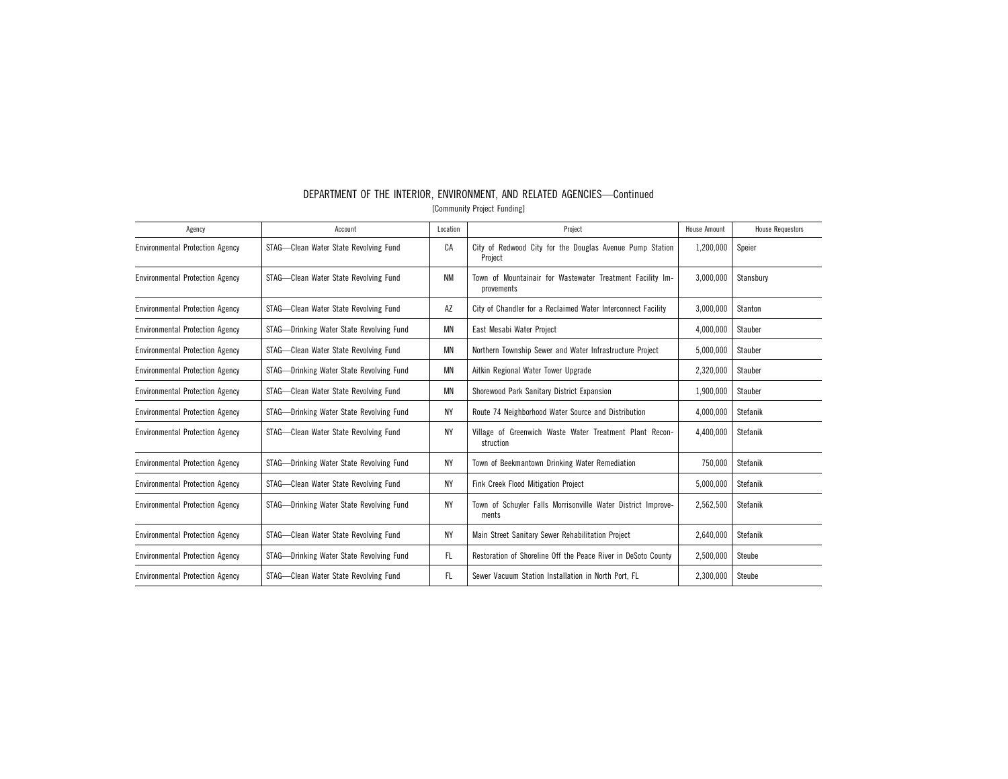| Agency                                 | Account                                  | Location  | Project                                                                 | <b>House Amount</b> | <b>House Requestors</b> |
|----------------------------------------|------------------------------------------|-----------|-------------------------------------------------------------------------|---------------------|-------------------------|
| <b>Environmental Protection Agency</b> | STAG-Clean Water State Revolving Fund    | CA        | City of Redwood City for the Douglas Avenue Pump Station<br>Project     | 1,200,000           | Speier                  |
| <b>Environmental Protection Agency</b> | STAG-Clean Water State Revolving Fund    | <b>NM</b> | Town of Mountainair for Wastewater Treatment Facility Im-<br>provements | 3,000,000           | Stansbury               |
| <b>Environmental Protection Agency</b> | STAG-Clean Water State Revolving Fund    | AZ        | City of Chandler for a Reclaimed Water Interconnect Facility            | 3,000,000           | Stanton                 |
| <b>Environmental Protection Agency</b> | STAG-Drinking Water State Revolving Fund | <b>MN</b> | East Mesabi Water Project                                               | 4,000,000           | Stauber                 |
| <b>Environmental Protection Agency</b> | STAG-Clean Water State Revolving Fund    | MN        | Northern Township Sewer and Water Infrastructure Project                | 5,000,000           | Stauber                 |
| <b>Environmental Protection Agency</b> | STAG-Drinking Water State Revolving Fund | ΜN        | Aitkin Regional Water Tower Upgrade                                     | 2,320,000           | Stauber                 |
| <b>Environmental Protection Agency</b> | STAG-Clean Water State Revolving Fund    | MN        | Shorewood Park Sanitary District Expansion                              | 1,900,000           | Stauber                 |
| <b>Environmental Protection Agency</b> | STAG-Drinking Water State Revolving Fund | <b>NY</b> | Route 74 Neighborhood Water Source and Distribution                     | 4,000,000           | Stefanik                |
| <b>Environmental Protection Agency</b> | STAG-Clean Water State Revolving Fund    | ΝY        | Village of Greenwich Waste Water Treatment Plant Recon-<br>struction    | 4,400,000           | Stefanik                |
| <b>Environmental Protection Agency</b> | STAG-Drinking Water State Revolving Fund | <b>NY</b> | Town of Beekmantown Drinking Water Remediation                          | 750,000             | Stefanik                |
| <b>Environmental Protection Agency</b> | STAG-Clean Water State Revolving Fund    | <b>NY</b> | Fink Creek Flood Mitigation Project                                     | 5,000,000           | Stefanik                |
| <b>Environmental Protection Agency</b> | STAG-Drinking Water State Revolving Fund | <b>NY</b> | Town of Schuyler Falls Morrisonville Water District Improve-<br>ments   | 2,562,500           | Stefanik                |
| <b>Environmental Protection Agency</b> | STAG-Clean Water State Revolving Fund    | <b>NY</b> | Main Street Sanitary Sewer Rehabilitation Project                       | 2,640,000           | Stefanik                |
| <b>Environmental Protection Agency</b> | STAG-Drinking Water State Revolving Fund | FL.       | Restoration of Shoreline Off the Peace River in DeSoto County           | 2,500,000           | Steube                  |
| <b>Environmental Protection Agency</b> | STAG-Clean Water State Revolving Fund    | FL.       | Sewer Vacuum Station Installation in North Port, FL                     | 2,300,000           | Steube                  |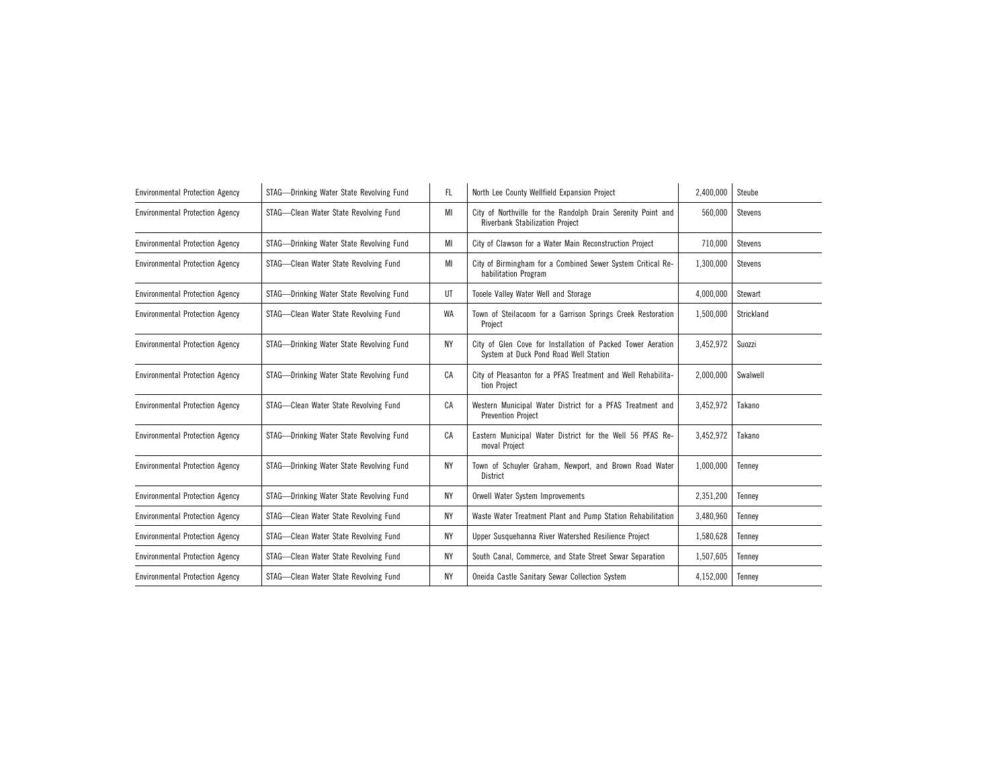| <b>Environmental Protection Agency</b> | STAG-Drinking Water State Revolving Fund | FL. | North Lee County Wellfield Expansion Project                                                         | 2,400,000 | Steube     |
|----------------------------------------|------------------------------------------|-----|------------------------------------------------------------------------------------------------------|-----------|------------|
| <b>Environmental Protection Agency</b> | STAG-Clean Water State Revolving Fund    | MI  | City of Northville for the Randolph Drain Serenity Point and<br>Riverbank Stabilization Project      | 560.000   | Stevens    |
| <b>Environmental Protection Agency</b> | STAG-Drinking Water State Revolving Fund | МI  | City of Clawson for a Water Main Reconstruction Project                                              | 710,000   | Stevens    |
| <b>Environmental Protection Agency</b> | STAG-Clean Water State Revolving Fund    | MI  | City of Birmingham for a Combined Sewer System Critical Re-<br>habilitation Program                  | 1,300,000 | Stevens    |
| <b>Environmental Protection Agency</b> | STAG-Drinking Water State Revolving Fund | UT  | Tooele Valley Water Well and Storage                                                                 | 4,000,000 | Stewart    |
| <b>Environmental Protection Agency</b> | STAG-Clean Water State Revolving Fund    | WA  | Town of Steilacoom for a Garrison Springs Creek Restoration<br>Project                               | 1,500,000 | Strickland |
| <b>Environmental Protection Agency</b> | STAG-Drinking Water State Revolving Fund | NΥ  | City of Glen Cove for Installation of Packed Tower Aeration<br>System at Duck Pond Road Well Station | 3,452,972 | Suozzi     |
| <b>Environmental Protection Agency</b> | STAG-Drinking Water State Revolving Fund | CA  | City of Pleasanton for a PFAS Treatment and Well Rehabilita-<br>tion Project                         | 2,000,000 | Swalwell   |
| <b>Environmental Protection Agency</b> | STAG-Clean Water State Revolving Fund    | СA  | Western Municipal Water District for a PFAS Treatment and<br><b>Prevention Project</b>               | 3,452,972 | Takano     |
| <b>Environmental Protection Agency</b> | STAG-Drinking Water State Revolving Fund | СA  | Eastern Municipal Water District for the Well 56 PFAS Re-<br>moval Project                           | 3,452,972 | Takano     |
| <b>Environmental Protection Agency</b> | STAG-Drinking Water State Revolving Fund | NΥ  | Town of Schuyler Graham, Newport, and Brown Road Water<br>District                                   | 1.000.000 | Tennev     |
| <b>Environmental Protection Agency</b> | STAG-Drinking Water State Revolving Fund | NΥ  | Orwell Water System Improvements                                                                     | 2,351,200 | Tenney     |
| <b>Environmental Protection Agency</b> | STAG-Clean Water State Revolving Fund    | NY  | Waste Water Treatment Plant and Pump Station Rehabilitation                                          | 3,480,960 | Tenney     |
| <b>Environmental Protection Agency</b> | STAG-Clean Water State Revolving Fund    | NΥ  | Upper Susquehanna River Watershed Resilience Project                                                 | 1,580,628 | Tenney     |
| <b>Environmental Protection Agency</b> | STAG-Clean Water State Revolving Fund    | NΥ  | South Canal, Commerce, and State Street Sewar Separation                                             | 1,507,605 | Tenney     |
| <b>Environmental Protection Agency</b> | STAG-Clean Water State Revolving Fund    | NΥ  | Oneida Castle Sanitary Sewar Collection System                                                       | 4,152,000 | Tenney     |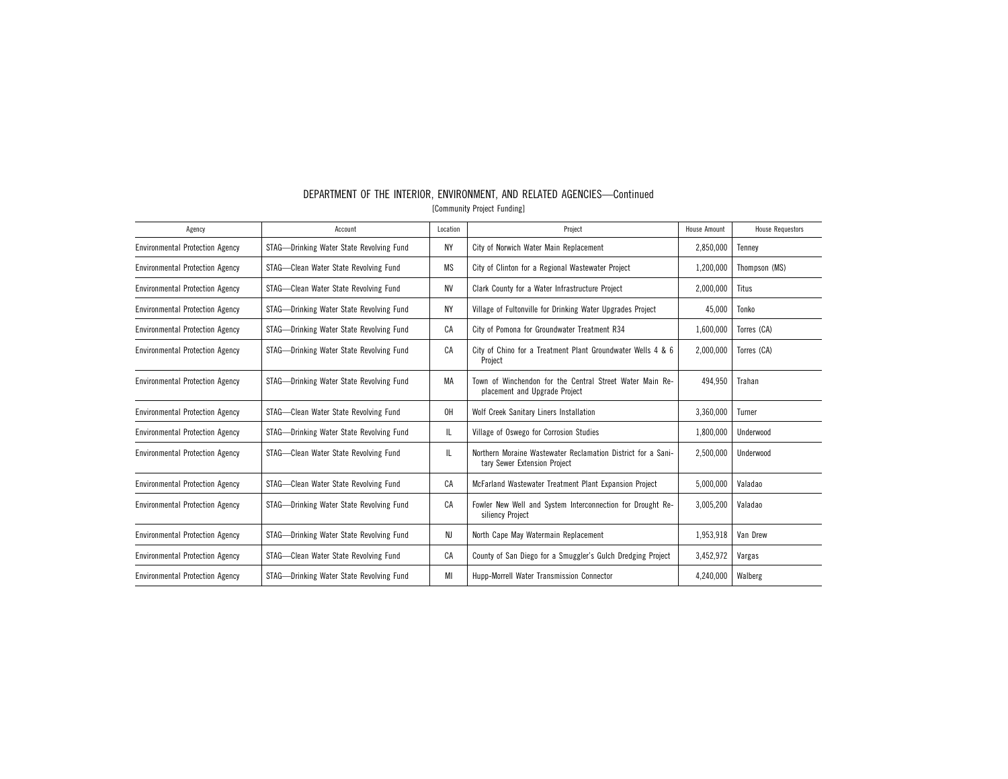| Agency                                 | Account                                  | Location  | Project                                                                                      | House Amount | <b>House Requestors</b> |
|----------------------------------------|------------------------------------------|-----------|----------------------------------------------------------------------------------------------|--------------|-------------------------|
| <b>Environmental Protection Agency</b> | STAG-Drinking Water State Revolving Fund | <b>NY</b> | City of Norwich Water Main Replacement                                                       | 2,850,000    | Tennev                  |
| <b>Environmental Protection Agency</b> | STAG-Clean Water State Revolving Fund    | MS        | City of Clinton for a Regional Wastewater Project                                            | 1,200,000    | Thompson (MS)           |
| <b>Environmental Protection Agency</b> | STAG-Clean Water State Revolving Fund    | NV        | Clark County for a Water Infrastructure Project                                              | 2.000.000    | Titus                   |
| <b>Environmental Protection Agency</b> | STAG-Drinking Water State Revolving Fund | <b>NY</b> | Village of Fultonville for Drinking Water Upgrades Project                                   | 45,000       | Tonko                   |
| <b>Environmental Protection Agency</b> | STAG—Drinking Water State Revolving Fund | CA        | City of Pomona for Groundwater Treatment R34                                                 | 1,600,000    | Torres (CA)             |
| <b>Environmental Protection Agency</b> | STAG—Drinking Water State Revolving Fund | CA        | City of Chino for a Treatment Plant Groundwater Wells 4 & 6<br>Project                       | 2,000,000    | Torres (CA)             |
| <b>Environmental Protection Agency</b> | STAG—Drinking Water State Revolving Fund | МA        | Town of Winchendon for the Central Street Water Main Re-<br>placement and Upgrade Project    | 494.950      | Trahan                  |
| <b>Environmental Protection Agency</b> | STAG-Clean Water State Revolving Fund    | 0H        | Wolf Creek Sanitary Liners Installation                                                      | 3,360,000    | Turner                  |
| <b>Environmental Protection Agency</b> | STAG-Drinking Water State Revolving Fund | IL.       | Village of Oswego for Corrosion Studies                                                      | 1,800,000    | Underwood               |
| <b>Environmental Protection Agency</b> | STAG-Clean Water State Revolving Fund    | IL.       | Northern Moraine Wastewater Reclamation District for a Sani-<br>tary Sewer Extension Project | 2.500.000    | Underwood               |
| <b>Environmental Protection Agency</b> | STAG-Clean Water State Revolving Fund    | CA        | McFarland Wastewater Treatment Plant Expansion Project                                       | 5.000.000    | Valadao                 |
| <b>Environmental Protection Agency</b> | STAG—Drinking Water State Revolving Fund | CA        | Fowler New Well and System Interconnection for Drought Re-<br>siliency Project               | 3,005,200    | Valadao                 |
| <b>Environmental Protection Agency</b> | STAG-Drinking Water State Revolving Fund | NJ        | North Cape May Watermain Replacement                                                         | 1,953,918    | Van Drew                |
| <b>Environmental Protection Agency</b> | STAG-Clean Water State Revolving Fund    | CA        | County of San Diego for a Smuggler's Gulch Dredging Project                                  | 3,452,972    | Vargas                  |
| <b>Environmental Protection Agency</b> | STAG—Drinking Water State Revolving Fund | MI        | Hupp-Morrell Water Transmission Connector                                                    | 4,240,000    | Walberg                 |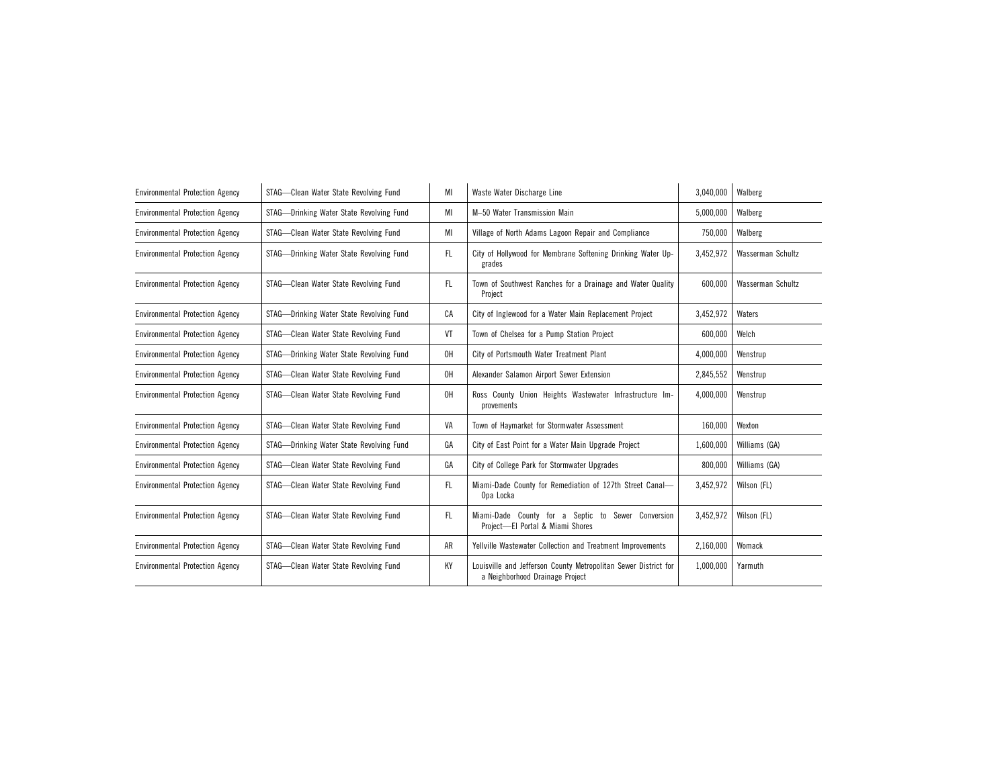| <b>Environmental Protection Agency</b> | STAG-Clean Water State Revolving Fund    | MI  | Waste Water Discharge Line                                                                         | 3,040,000 | Walberg           |
|----------------------------------------|------------------------------------------|-----|----------------------------------------------------------------------------------------------------|-----------|-------------------|
| <b>Environmental Protection Agency</b> | STAG-Drinking Water State Revolving Fund | MI  | M-50 Water Transmission Main                                                                       | 5,000,000 | Walberg           |
| <b>Environmental Protection Agency</b> | STAG-Clean Water State Revolving Fund    | МI  | Village of North Adams Lagoon Repair and Compliance                                                | 750,000   | Walberg           |
| <b>Environmental Protection Agency</b> | STAG-Drinking Water State Revolving Fund | FL. | City of Hollywood for Membrane Softening Drinking Water Up-<br>grades                              | 3,452,972 | Wasserman Schultz |
| <b>Environmental Protection Agency</b> | STAG-Clean Water State Revolving Fund    | FL. | Town of Southwest Ranches for a Drainage and Water Quality<br>Project                              | 600.000   | Wasserman Schultz |
| <b>Environmental Protection Agency</b> | STAG-Drinking Water State Revolving Fund | CA  | City of Inglewood for a Water Main Replacement Project                                             | 3,452,972 | Waters            |
| <b>Environmental Protection Agency</b> | STAG-Clean Water State Revolving Fund    | VT  | Town of Chelsea for a Pump Station Project                                                         | 600,000   | Welch             |
| <b>Environmental Protection Agency</b> | STAG-Drinking Water State Revolving Fund | OH  | City of Portsmouth Water Treatment Plant                                                           | 4,000,000 | Wenstrup          |
| <b>Environmental Protection Agency</b> | STAG-Clean Water State Revolving Fund    | 0H  | Alexander Salamon Airport Sewer Extension                                                          | 2,845,552 | Wenstrup          |
| <b>Environmental Protection Agency</b> | STAG-Clean Water State Revolving Fund    | OH  | Ross County Union Heights Wastewater Infrastructure Im-<br>provements                              | 4,000,000 | Wenstrup          |
| <b>Environmental Protection Agency</b> | STAG-Clean Water State Revolving Fund    | VA  | Town of Haymarket for Stormwater Assessment                                                        | 160,000   | Wexton            |
| <b>Environmental Protection Agency</b> | STAG-Drinking Water State Revolving Fund | GA  | City of East Point for a Water Main Upgrade Project                                                | 1,600,000 | Williams (GA)     |
| <b>Environmental Protection Agency</b> | STAG-Clean Water State Revolving Fund    | GA  | City of College Park for Stormwater Upgrades                                                       | 800,000   | Williams (GA)     |
| <b>Environmental Protection Agency</b> | STAG-Clean Water State Revolving Fund    | FL. | Miami-Dade County for Remediation of 127th Street Canal-<br>Opa Locka                              | 3,452,972 | Wilson (FL)       |
| <b>Environmental Protection Agency</b> | STAG-Clean Water State Revolving Fund    | FL. | Miami-Dade County for a Septic to Sewer Conversion<br>Project-El Portal & Miami Shores             | 3,452,972 | Wilson (FL)       |
| <b>Environmental Protection Agency</b> | STAG-Clean Water State Revolving Fund    | AR  | Yellville Wastewater Collection and Treatment Improvements                                         | 2,160,000 | Womack            |
| <b>Environmental Protection Agency</b> | STAG-Clean Water State Revolving Fund    | KY  | Louisville and Jefferson County Metropolitan Sewer District for<br>a Neighborhood Drainage Project | 1,000,000 | Yarmuth           |